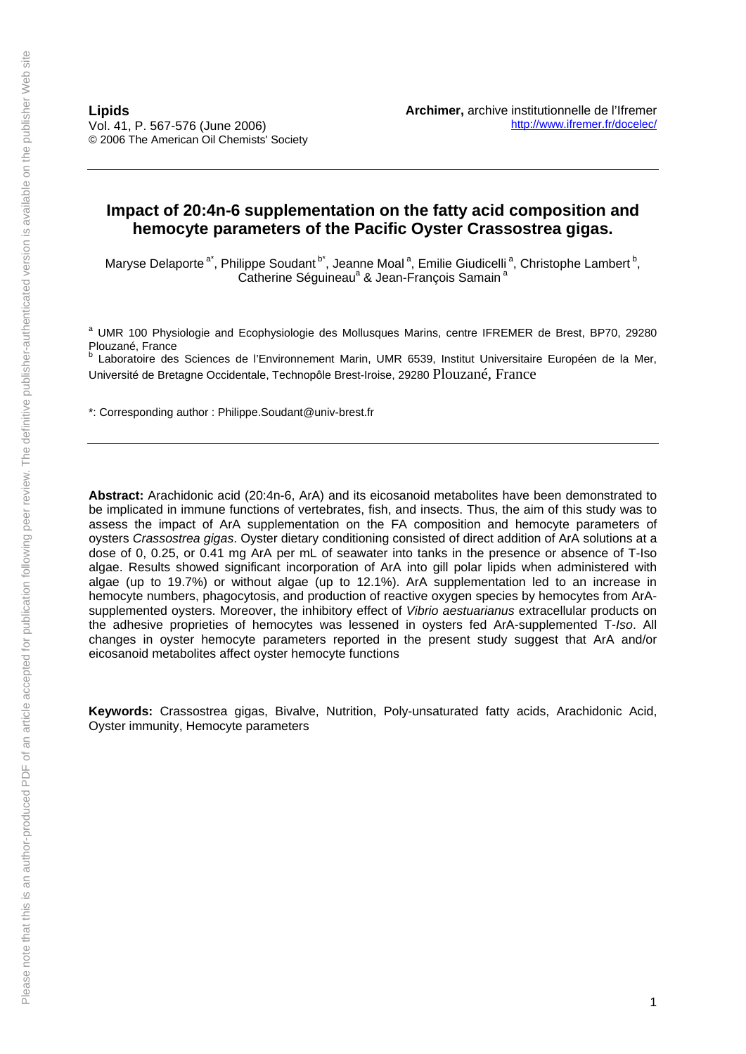# **Impact of 20:4n-6 supplementation on the fatty acid composition and hemocyte parameters of the Pacific Oyster Crassostrea gigas.**

Maryse Delaporte<sup>a\*</sup>, Philippe Soudant<sup>b\*</sup>, Jeanne Moal<sup>a</sup>, Emilie Giudicelli<sup>a</sup>, Christophe Lambert<sup>b</sup>, Catherine Séguineau<sup>a</sup> & Jean-François Samain<sup>a</sup>

<sup>a</sup> UMR 100 Physiologie and Ecophysiologie des Mollusques Marins, centre IFREMER de Brest, BP70, 29280 Plouzané, France

Laboratoire des Sciences de l'Environnement Marin, UMR 6539, Institut Universitaire Européen de la Mer, Université de Bretagne Occidentale, Technopôle Brest-Iroise, 29280 Plouzané, France

\*: Corresponding author : Philippe.Soudant@univ-brest.fr

**Abstract:** Arachidonic acid (20:4n-6, ArA) and its eicosanoid metabolites have been demonstrated to be implicated in immune functions of vertebrates, fish, and insects. Thus, the aim of this study was to assess the impact of ArA supplementation on the FA composition and hemocyte parameters of oysters *Crassostrea gigas*. Oyster dietary conditioning consisted of direct addition of ArA solutions at a dose of 0, 0.25, or 0.41 mg ArA per mL of seawater into tanks in the presence or absence of T-Iso algae. Results showed significant incorporation of ArA into gill polar lipids when administered with algae (up to 19.7%) or without algae (up to 12.1%). ArA supplementation led to an increase in hemocyte numbers, phagocytosis, and production of reactive oxygen species by hemocytes from ArAsupplemented oysters. Moreover, the inhibitory effect of *Vibrio aestuarianus* extracellular products on the adhesive proprieties of hemocytes was lessened in oysters fed ArA-supplemented T-*Iso*. All changes in oyster hemocyte parameters reported in the present study suggest that ArA and/or eicosanoid metabolites affect oyster hemocyte functions

**Keywords:** Crassostrea gigas, Bivalve, Nutrition, Poly-unsaturated fatty acids, Arachidonic Acid, Oyster immunity, Hemocyte parameters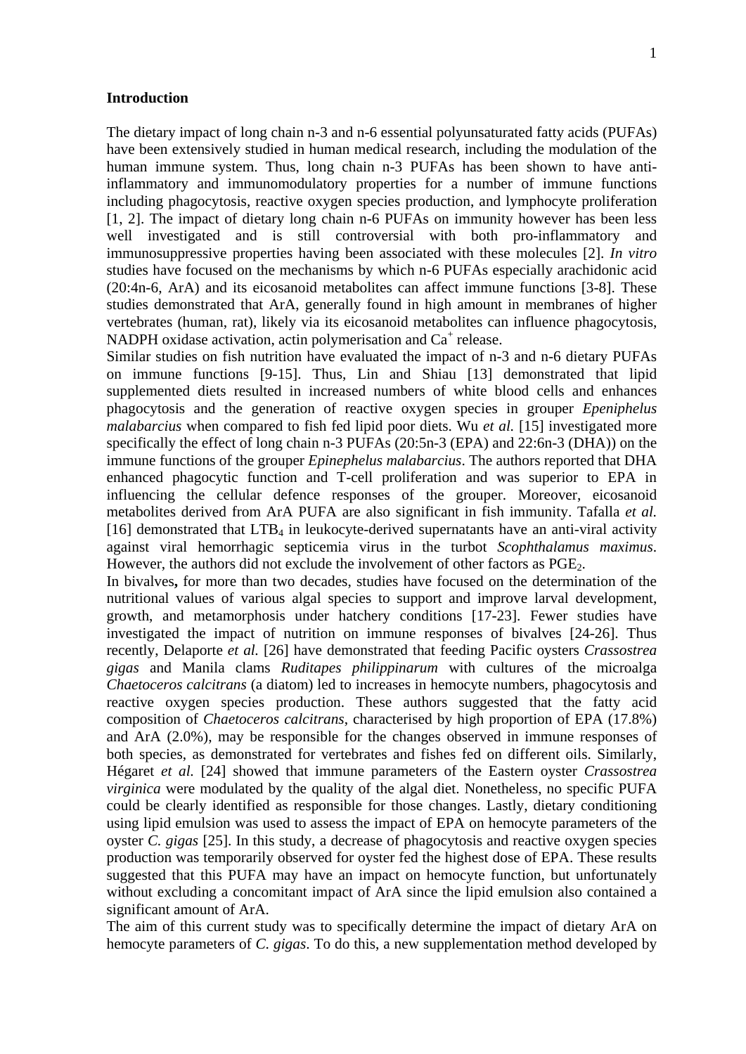#### **Introduction**

The dietary impact of long chain n-3 and n-6 essential polyunsaturated fatty acids (PUFAs) have been extensively studied in human medical research, including the modulation of the human immune system. Thus, long chain n-3 PUFAs has been shown to have antiinflammatory and immunomodulatory properties for a number of immune functions including phagocytosis, reactive oxygen species production, and lymphocyte proliferation [1, 2]. The impact of dietary long chain n-6 PUFAs on immunity however has been less well investigated and is still controversial with both pro-inflammatory and immunosuppressive properties having been associated with these molecules [2]. *In vitro* studies have focused on the mechanisms by which n-6 PUFAs especially arachidonic acid (20:4n-6, ArA) and its eicosanoid metabolites can affect immune functions [3-8]. These studies demonstrated that ArA, generally found in high amount in membranes of higher vertebrates (human, rat), likely via its eicosanoid metabolites can influence phagocytosis, NADPH oxidase activation, actin polymerisation and Ca<sup>+</sup> release.

Similar studies on fish nutrition have evaluated the impact of n-3 and n-6 dietary PUFAs on immune functions [9-15]. Thus, Lin and Shiau [13] demonstrated that lipid supplemented diets resulted in increased numbers of white blood cells and enhances phagocytosis and the generation of reactive oxygen species in grouper *Epeniphelus malabarcius* when compared to fish fed lipid poor diets. Wu *et al.* [15] investigated more specifically the effect of long chain n-3 PUFAs (20:5n-3 (EPA) and 22:6n-3 (DHA)) on the immune functions of the grouper *Epinephelus malabarcius*. The authors reported that DHA enhanced phagocytic function and T-cell proliferation and was superior to EPA in influencing the cellular defence responses of the grouper. Moreover, eicosanoid metabolites derived from ArA PUFA are also significant in fish immunity. Tafalla *et al.* [16] demonstrated that  $LTB<sub>4</sub>$  in leukocyte-derived supernatants have an anti-viral activity against viral hemorrhagic septicemia virus in the turbot *Scophthalamus maximus*. However, the authors did not exclude the involvement of other factors as PGE<sub>2</sub>.

In bivalves**,** for more than two decades, studies have focused on the determination of the nutritional values of various algal species to support and improve larval development, growth, and metamorphosis under hatchery conditions [17-23]. Fewer studies have investigated the impact of nutrition on immune responses of bivalves [24-26]. Thus recently, Delaporte *et al.* [26] have demonstrated that feeding Pacific oysters *Crassostrea gigas* and Manila clams *Ruditapes philippinarum* with cultures of the microalga *Chaetoceros calcitrans* (a diatom) led to increases in hemocyte numbers, phagocytosis and reactive oxygen species production. These authors suggested that the fatty acid composition of *Chaetoceros calcitrans*, characterised by high proportion of EPA (17.8%) and ArA (2.0%), may be responsible for the changes observed in immune responses of both species, as demonstrated for vertebrates and fishes fed on different oils. Similarly, Hégaret *et al.* [24] showed that immune parameters of the Eastern oyster *Crassostrea virginica* were modulated by the quality of the algal diet. Nonetheless, no specific PUFA could be clearly identified as responsible for those changes. Lastly, dietary conditioning using lipid emulsion was used to assess the impact of EPA on hemocyte parameters of the oyster *C. gigas* [25]. In this study, a decrease of phagocytosis and reactive oxygen species production was temporarily observed for oyster fed the highest dose of EPA. These results suggested that this PUFA may have an impact on hemocyte function, but unfortunately without excluding a concomitant impact of ArA since the lipid emulsion also contained a significant amount of ArA.

The aim of this current study was to specifically determine the impact of dietary ArA on hemocyte parameters of *C. gigas*. To do this, a new supplementation method developed by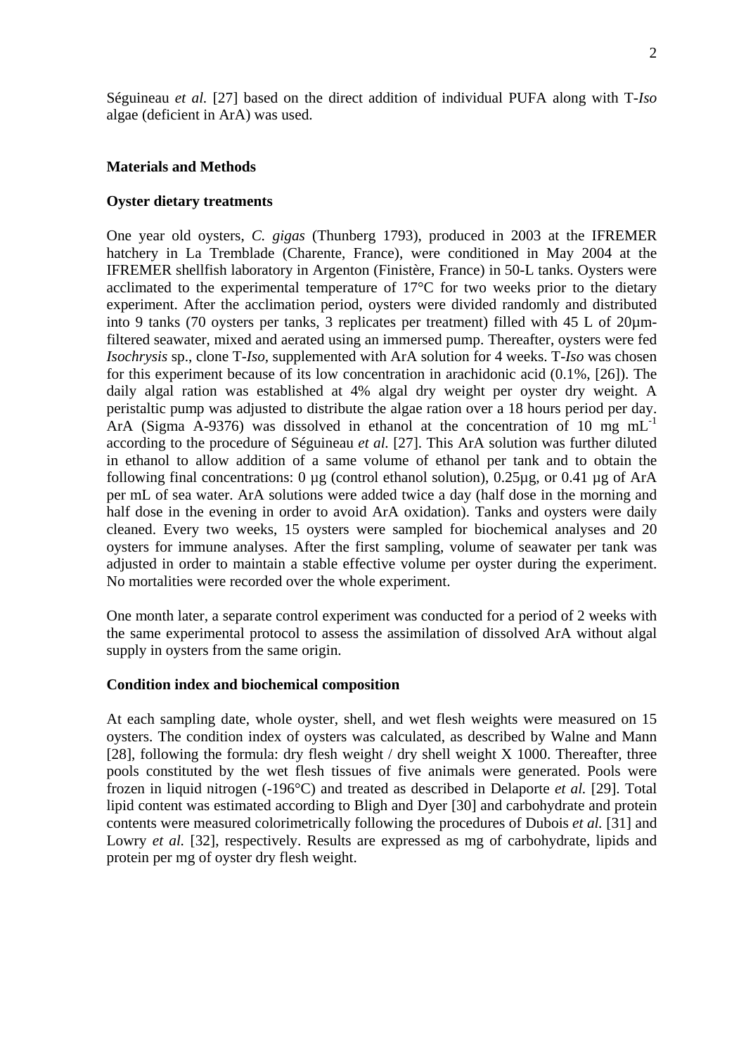Séguineau *et al.* [27] based on the direct addition of individual PUFA along with T-*Iso* algae (deficient in ArA) was used.

### **Materials and Methods**

## **Oyster dietary treatments**

One year old oysters, *C. gigas* (Thunberg 1793), produced in 2003 at the IFREMER hatchery in La Tremblade (Charente, France), were conditioned in May 2004 at the IFREMER shellfish laboratory in Argenton (Finistère, France) in 50-L tanks. Oysters were acclimated to the experimental temperature of 17°C for two weeks prior to the dietary experiment. After the acclimation period, oysters were divided randomly and distributed into 9 tanks (70 oysters per tanks, 3 replicates per treatment) filled with 45 L of 20µmfiltered seawater, mixed and aerated using an immersed pump. Thereafter, oysters were fed *Isochrysis* sp., clone T-*Iso,* supplemented with ArA solution for 4 weeks. T-*Iso* was chosen for this experiment because of its low concentration in arachidonic acid (0.1%, [26]). The daily algal ration was established at 4% algal dry weight per oyster dry weight. A peristaltic pump was adjusted to distribute the algae ration over a 18 hours period per day. ArA (Sigma A-9376) was dissolved in ethanol at the concentration of 10 mg  $mL^{-1}$ according to the procedure of Séguineau *et al.* [27]. This ArA solution was further diluted in ethanol to allow addition of a same volume of ethanol per tank and to obtain the following final concentrations: 0  $\mu$ g (control ethanol solution), 0.25 $\mu$ g, or 0.41  $\mu$ g of ArA per mL of sea water. ArA solutions were added twice a day (half dose in the morning and half dose in the evening in order to avoid ArA oxidation). Tanks and oysters were daily cleaned. Every two weeks, 15 oysters were sampled for biochemical analyses and 20 oysters for immune analyses. After the first sampling, volume of seawater per tank was adjusted in order to maintain a stable effective volume per oyster during the experiment. No mortalities were recorded over the whole experiment.

One month later, a separate control experiment was conducted for a period of 2 weeks with the same experimental protocol to assess the assimilation of dissolved ArA without algal supply in oysters from the same origin.

### **Condition index and biochemical composition**

At each sampling date, whole oyster, shell, and wet flesh weights were measured on 15 oysters. The condition index of oysters was calculated, as described by Walne and Mann [28], following the formula: dry flesh weight  $\ell$  dry shell weight X 1000. Thereafter, three pools constituted by the wet flesh tissues of five animals were generated. Pools were frozen in liquid nitrogen (-196°C) and treated as described in Delaporte *et al.* [29]. Total lipid content was estimated according to Bligh and Dyer [30] and carbohydrate and protein contents were measured colorimetrically following the procedures of Dubois *et al.* [31] and Lowry *et al.* [32], respectively. Results are expressed as mg of carbohydrate, lipids and protein per mg of oyster dry flesh weight.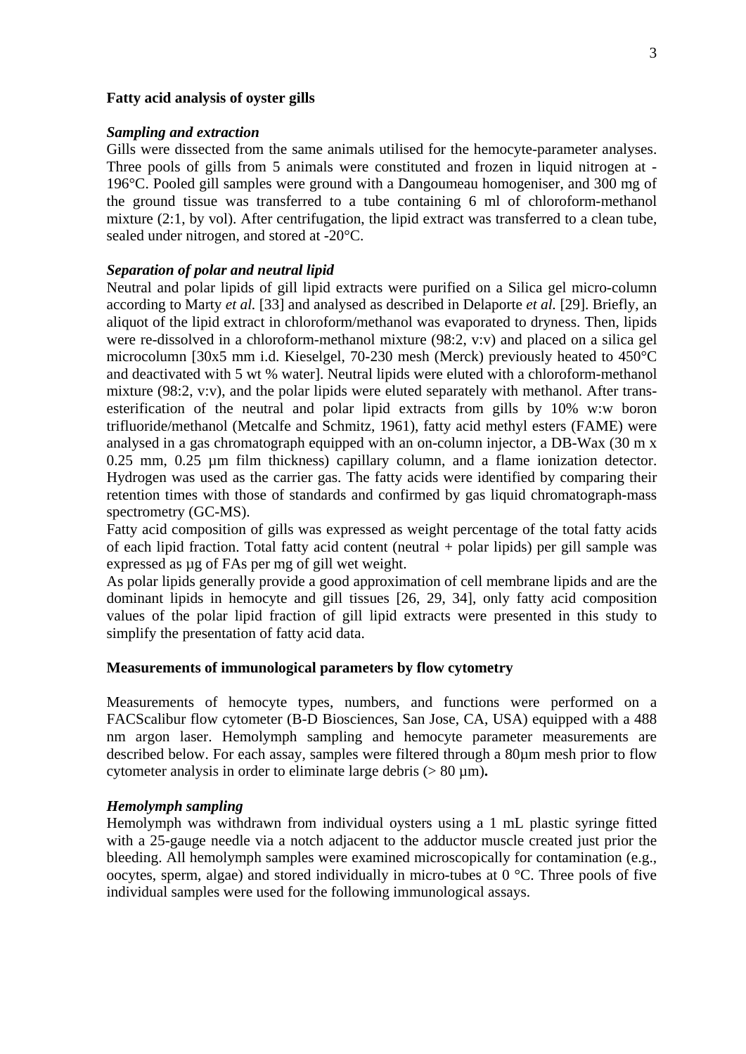### **Fatty acid analysis of oyster gills**

### *Sampling and extraction*

Gills were dissected from the same animals utilised for the hemocyte-parameter analyses. Three pools of gills from 5 animals were constituted and frozen in liquid nitrogen at - 196°C. Pooled gill samples were ground with a Dangoumeau homogeniser, and 300 mg of the ground tissue was transferred to a tube containing 6 ml of chloroform-methanol mixture (2:1, by vol). After centrifugation, the lipid extract was transferred to a clean tube, sealed under nitrogen, and stored at -20°C.

## *Separation of polar and neutral lipid*

Neutral and polar lipids of gill lipid extracts were purified on a Silica gel micro-column according to Marty *et al.* [33] and analysed as described in Delaporte *et al.* [29]. Briefly, an aliquot of the lipid extract in chloroform/methanol was evaporated to dryness. Then, lipids were re-dissolved in a chloroform-methanol mixture (98:2, v:v) and placed on a silica gel microcolumn [30x5 mm i.d. Kieselgel, 70-230 mesh (Merck) previously heated to 450°C and deactivated with 5 wt % water]. Neutral lipids were eluted with a chloroform-methanol mixture (98:2, v:v), and the polar lipids were eluted separately with methanol. After transesterification of the neutral and polar lipid extracts from gills by 10% w:w boron trifluoride/methanol (Metcalfe and Schmitz, 1961), fatty acid methyl esters (FAME) were analysed in a gas chromatograph equipped with an on-column injector, a DB-Wax (30 m x 0.25 mm, 0.25 µm film thickness) capillary column, and a flame ionization detector. Hydrogen was used as the carrier gas. The fatty acids were identified by comparing their retention times with those of standards and confirmed by gas liquid chromatograph-mass spectrometry (GC-MS).

Fatty acid composition of gills was expressed as weight percentage of the total fatty acids of each lipid fraction. Total fatty acid content (neutral + polar lipids) per gill sample was expressed as µg of FAs per mg of gill wet weight.

As polar lipids generally provide a good approximation of cell membrane lipids and are the dominant lipids in hemocyte and gill tissues [26, 29, 34], only fatty acid composition values of the polar lipid fraction of gill lipid extracts were presented in this study to simplify the presentation of fatty acid data.

### **Measurements of immunological parameters by flow cytometry**

Measurements of hemocyte types, numbers, and functions were performed on a FACScalibur flow cytometer (B-D Biosciences, San Jose, CA, USA) equipped with a 488 nm argon laser. Hemolymph sampling and hemocyte parameter measurements are described below. For each assay, samples were filtered through a 80µm mesh prior to flow cytometer analysis in order to eliminate large debris (> 80 µm)**.**

### *Hemolymph sampling*

Hemolymph was withdrawn from individual oysters using a 1 mL plastic syringe fitted with a 25-gauge needle via a notch adjacent to the adductor muscle created just prior the bleeding. All hemolymph samples were examined microscopically for contamination (e.g., oocytes, sperm, algae) and stored individually in micro-tubes at  $0^{\circ}$ C. Three pools of five individual samples were used for the following immunological assays.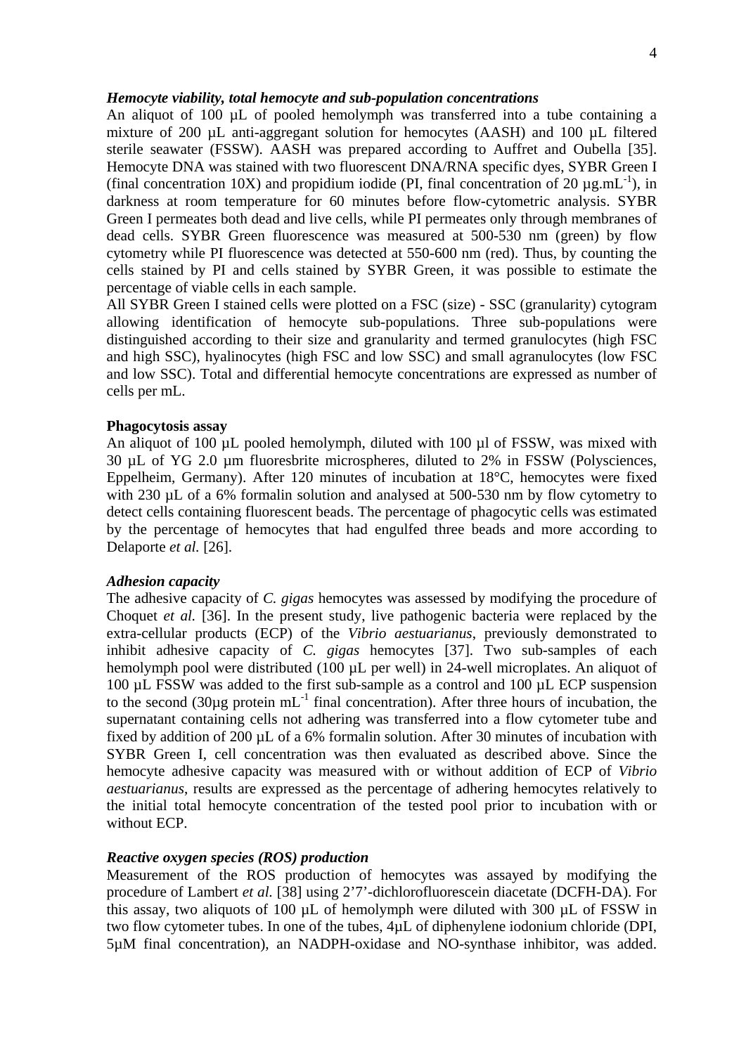## *Hemocyte viability, total hemocyte and sub-population concentrations*

An aliquot of 100 µL of pooled hemolymph was transferred into a tube containing a mixture of 200 µL anti-aggregant solution for hemocytes (AASH) and 100 µL filtered sterile seawater (FSSW). AASH was prepared according to Auffret and Oubella [35]. Hemocyte DNA was stained with two fluorescent DNA/RNA specific dyes, SYBR Green I (final concentration 10X) and propidium iodide (PI, final concentration of 20  $\mu$ g.mL<sup>-1</sup>), in darkness at room temperature for 60 minutes before flow-cytometric analysis. SYBR Green I permeates both dead and live cells, while PI permeates only through membranes of dead cells. SYBR Green fluorescence was measured at 500-530 nm (green) by flow cytometry while PI fluorescence was detected at 550-600 nm (red). Thus, by counting the cells stained by PI and cells stained by SYBR Green, it was possible to estimate the percentage of viable cells in each sample.

All SYBR Green I stained cells were plotted on a FSC (size) - SSC (granularity) cytogram allowing identification of hemocyte sub-populations. Three sub-populations were distinguished according to their size and granularity and termed granulocytes (high FSC and high SSC), hyalinocytes (high FSC and low SSC) and small agranulocytes (low FSC and low SSC). Total and differential hemocyte concentrations are expressed as number of cells per mL.

### **Phagocytosis assay**

An aliquot of 100 µL pooled hemolymph, diluted with 100 µl of FSSW, was mixed with 30 µL of YG 2.0 µm fluoresbrite microspheres, diluted to 2% in FSSW (Polysciences, Eppelheim, Germany). After 120 minutes of incubation at 18°C, hemocytes were fixed with 230  $\mu$ L of a 6% formalin solution and analysed at 500-530 nm by flow cytometry to detect cells containing fluorescent beads. The percentage of phagocytic cells was estimated by the percentage of hemocytes that had engulfed three beads and more according to Delaporte *et al.* [26].

## *Adhesion capacity*

The adhesive capacity of *C. gigas* hemocytes was assessed by modifying the procedure of Choquet *et al.* [36]. In the present study, live pathogenic bacteria were replaced by the extra-cellular products (ECP) of the *Vibrio aestuarianus*, previously demonstrated to inhibit adhesive capacity of *C. gigas* hemocytes [37]. Two sub-samples of each hemolymph pool were distributed (100 µL per well) in 24-well microplates. An aliquot of 100 µL FSSW was added to the first sub-sample as a control and 100 µL ECP suspension to the second (30 $\mu$ g protein mL<sup>-1</sup> final concentration). After three hours of incubation, the supernatant containing cells not adhering was transferred into a flow cytometer tube and fixed by addition of 200 µL of a 6% formalin solution. After 30 minutes of incubation with SYBR Green I, cell concentration was then evaluated as described above. Since the hemocyte adhesive capacity was measured with or without addition of ECP of *Vibrio aestuarianus*, results are expressed as the percentage of adhering hemocytes relatively to the initial total hemocyte concentration of the tested pool prior to incubation with or without ECP.

## *Reactive oxygen species (ROS) production*

Measurement of the ROS production of hemocytes was assayed by modifying the procedure of Lambert *et al.* [38] using 2'7'-dichlorofluorescein diacetate (DCFH-DA). For this assay, two aliquots of 100  $\mu$ L of hemolymph were diluted with 300  $\mu$ L of FSSW in two flow cytometer tubes. In one of the tubes, 4µL of diphenylene iodonium chloride (DPI, 5µM final concentration), an NADPH-oxidase and NO-synthase inhibitor, was added.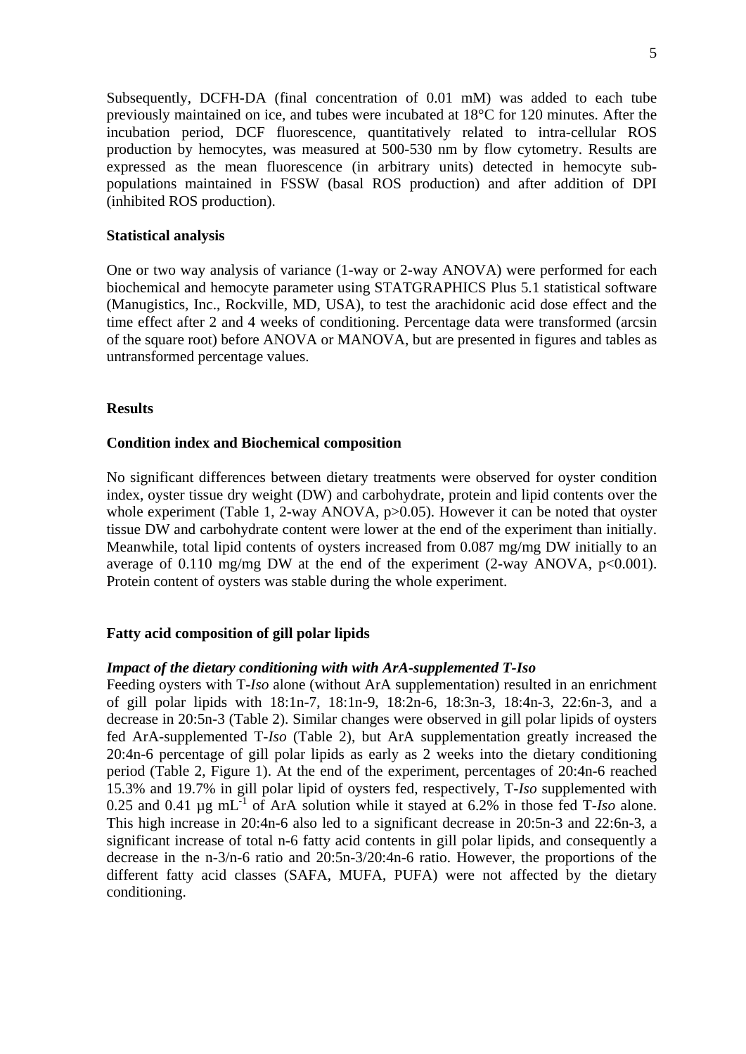Subsequently, DCFH-DA (final concentration of 0.01 mM) was added to each tube previously maintained on ice, and tubes were incubated at 18°C for 120 minutes. After the incubation period, DCF fluorescence, quantitatively related to intra-cellular ROS production by hemocytes, was measured at 500-530 nm by flow cytometry. Results are expressed as the mean fluorescence (in arbitrary units) detected in hemocyte subpopulations maintained in FSSW (basal ROS production) and after addition of DPI (inhibited ROS production).

## **Statistical analysis**

One or two way analysis of variance (1-way or 2-way ANOVA) were performed for each biochemical and hemocyte parameter using STATGRAPHICS Plus 5.1 statistical software (Manugistics, Inc., Rockville, MD, USA), to test the arachidonic acid dose effect and the time effect after 2 and 4 weeks of conditioning. Percentage data were transformed (arcsin of the square root) before ANOVA or MANOVA, but are presented in figures and tables as untransformed percentage values.

## **Results**

## **Condition index and Biochemical composition**

No significant differences between dietary treatments were observed for oyster condition index, oyster tissue dry weight (DW) and carbohydrate, protein and lipid contents over the whole experiment (Table 1, 2-way ANOVA, p>0.05). However it can be noted that oyster tissue DW and carbohydrate content were lower at the end of the experiment than initially. Meanwhile, total lipid contents of oysters increased from 0.087 mg/mg DW initially to an average of 0.110 mg/mg DW at the end of the experiment (2-way ANOVA,  $p<0.001$ ). Protein content of oysters was stable during the whole experiment.

## **Fatty acid composition of gill polar lipids**

### *Impact of the dietary conditioning with with ArA-supplemented T-Iso*

Feeding oysters with T-*Iso* alone (without ArA supplementation) resulted in an enrichment of gill polar lipids with 18:1n-7, 18:1n-9, 18:2n-6, 18:3n-3, 18:4n-3, 22:6n-3, and a decrease in 20:5n-3 (Table 2). Similar changes were observed in gill polar lipids of oysters fed ArA-supplemented T-*Iso* (Table 2), but ArA supplementation greatly increased the 20:4n-6 percentage of gill polar lipids as early as 2 weeks into the dietary conditioning period (Table 2, Figure 1). At the end of the experiment, percentages of 20:4n-6 reached 15.3% and 19.7% in gill polar lipid of oysters fed, respectively, T-*Iso* supplemented with 0.25 and 0.41 µg mL-1 of ArA solution while it stayed at 6.2% in those fed T-*Iso* alone. This high increase in 20:4n-6 also led to a significant decrease in 20:5n-3 and 22:6n-3, a significant increase of total n-6 fatty acid contents in gill polar lipids, and consequently a decrease in the n-3/n-6 ratio and 20:5n-3/20:4n-6 ratio. However, the proportions of the different fatty acid classes (SAFA, MUFA, PUFA) were not affected by the dietary conditioning.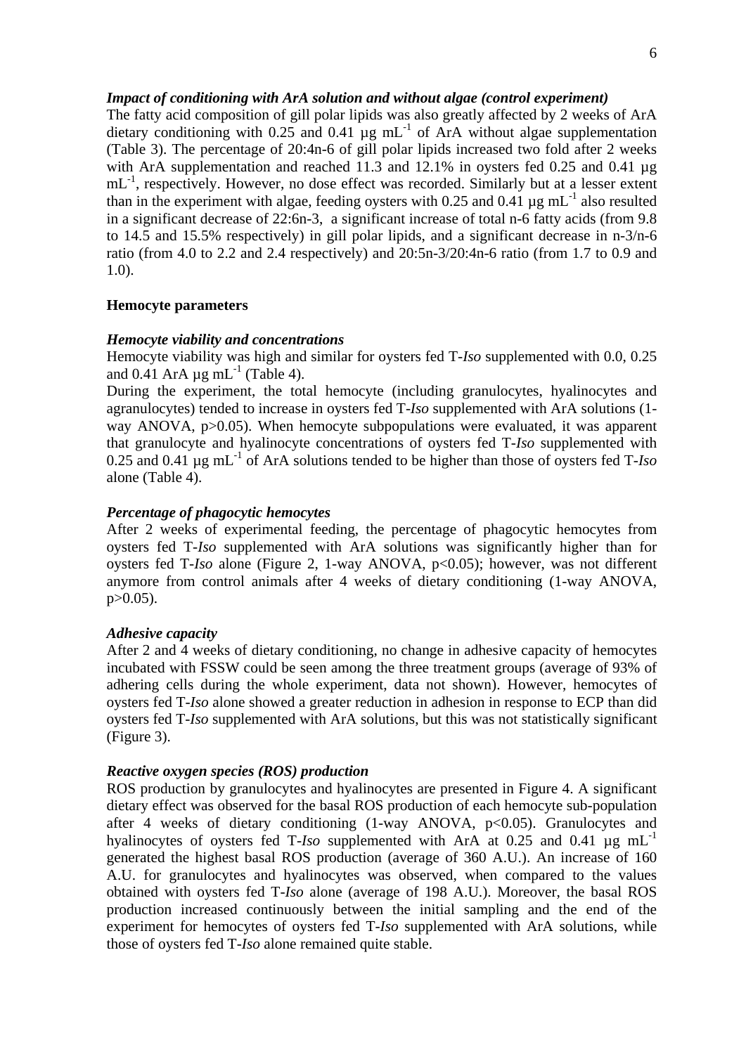## *Impact of conditioning with ArA solution and without algae (control experiment)*

The fatty acid composition of gill polar lipids was also greatly affected by 2 weeks of ArA dietary conditioning with 0.25 and 0.41  $\mu$ g mL<sup>-1</sup> of ArA without algae supplementation (Table 3). The percentage of 20:4n-6 of gill polar lipids increased two fold after 2 weeks with ArA supplementation and reached 11.3 and 12.1% in oysters fed 0.25 and 0.41  $\mu$ g  $mL^{-1}$ , respectively. However, no dose effect was recorded. Similarly but at a lesser extent than in the experiment with algae, feeding oysters with 0.25 and 0.41  $\mu$ g mL<sup>-1</sup> also resulted in a significant decrease of 22:6n-3, a significant increase of total n-6 fatty acids (from 9.8 to 14.5 and 15.5% respectively) in gill polar lipids, and a significant decrease in n-3/n-6 ratio (from 4.0 to 2.2 and 2.4 respectively) and 20:5n-3/20:4n-6 ratio (from 1.7 to 0.9 and 1.0).

## **Hemocyte parameters**

### *Hemocyte viability and concentrations*

Hemocyte viability was high and similar for oysters fed T-*Iso* supplemented with 0.0, 0.25 and 0.41 ArA  $\mu$ g mL<sup>-1</sup> (Table 4).

During the experiment, the total hemocyte (including granulocytes, hyalinocytes and agranulocytes) tended to increase in oysters fed T-*Iso* supplemented with ArA solutions (1 way ANOVA, p>0.05). When hemocyte subpopulations were evaluated, it was apparent that granulocyte and hyalinocyte concentrations of oysters fed T-*Iso* supplemented with 0.25 and 0.41 µg mL-1 of ArA solutions tended to be higher than those of oysters fed T-*Iso*  alone (Table 4).

## *Percentage of phagocytic hemocytes*

After 2 weeks of experimental feeding, the percentage of phagocytic hemocytes from oysters fed T-*Iso* supplemented with ArA solutions was significantly higher than for oysters fed T-*Iso* alone (Figure 2, 1-way ANOVA, p<0.05); however, was not different anymore from control animals after 4 weeks of dietary conditioning (1-way ANOVA,  $p > 0.05$ ).

### *Adhesive capacity*

After 2 and 4 weeks of dietary conditioning, no change in adhesive capacity of hemocytes incubated with FSSW could be seen among the three treatment groups (average of 93% of adhering cells during the whole experiment, data not shown). However, hemocytes of oysters fed T-*Iso* alone showed a greater reduction in adhesion in response to ECP than did oysters fed T-*Iso* supplemented with ArA solutions, but this was not statistically significant (Figure 3).

## *Reactive oxygen species (ROS) production*

ROS production by granulocytes and hyalinocytes are presented in Figure 4. A significant dietary effect was observed for the basal ROS production of each hemocyte sub-population after 4 weeks of dietary conditioning  $(1-way ANOVA, p<0.05)$ . Granulocytes and hyalinocytes of oysters fed T-*Iso* supplemented with ArA at 0.25 and 0.41 µg mL<sup>-1</sup> generated the highest basal ROS production (average of 360 A.U.). An increase of 160 A.U. for granulocytes and hyalinocytes was observed, when compared to the values obtained with oysters fed T-*Iso* alone (average of 198 A.U.). Moreover, the basal ROS production increased continuously between the initial sampling and the end of the experiment for hemocytes of oysters fed T-*Iso* supplemented with ArA solutions, while those of oysters fed T-*Iso* alone remained quite stable.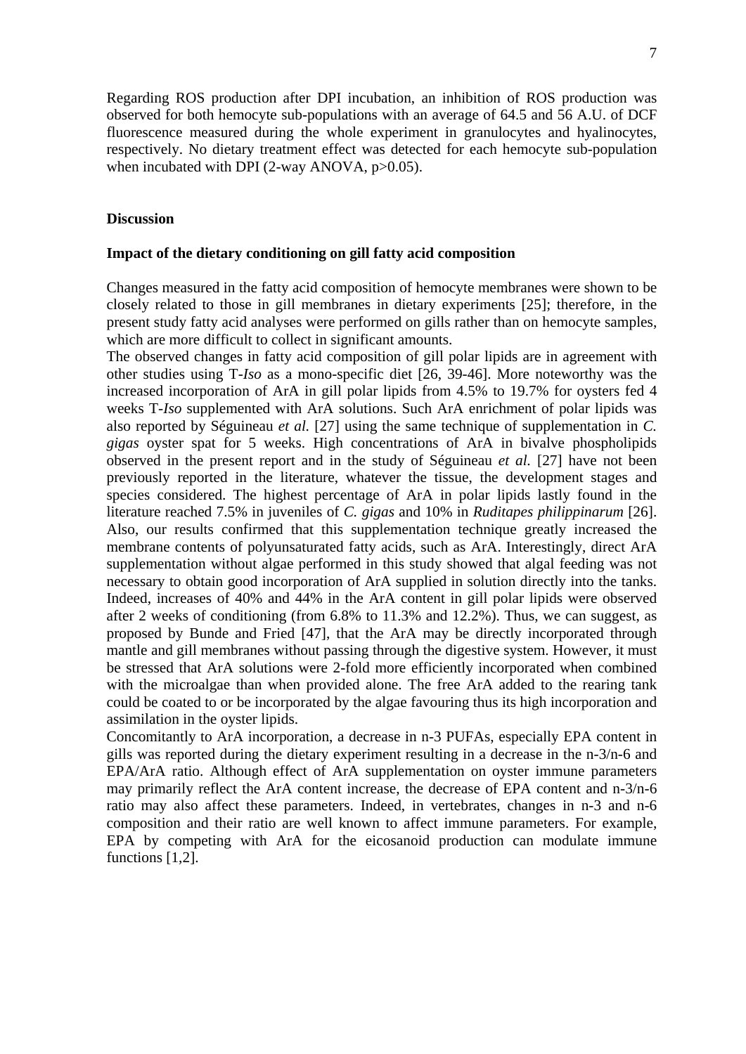Regarding ROS production after DPI incubation, an inhibition of ROS production was observed for both hemocyte sub-populations with an average of 64.5 and 56 A.U. of DCF fluorescence measured during the whole experiment in granulocytes and hyalinocytes, respectively. No dietary treatment effect was detected for each hemocyte sub-population when incubated with DPI (2-way ANOVA, p>0.05).

## **Discussion**

### **Impact of the dietary conditioning on gill fatty acid composition**

Changes measured in the fatty acid composition of hemocyte membranes were shown to be closely related to those in gill membranes in dietary experiments [25]; therefore, in the present study fatty acid analyses were performed on gills rather than on hemocyte samples, which are more difficult to collect in significant amounts.

The observed changes in fatty acid composition of gill polar lipids are in agreement with other studies using T-*Iso* as a mono-specific diet [26, 39-46]. More noteworthy was the increased incorporation of ArA in gill polar lipids from 4.5% to 19.7% for oysters fed 4 weeks T-*Iso* supplemented with ArA solutions. Such ArA enrichment of polar lipids was also reported by Séguineau *et al.* [27] using the same technique of supplementation in *C. gigas* oyster spat for 5 weeks. High concentrations of ArA in bivalve phospholipids observed in the present report and in the study of Séguineau *et al.* [27] have not been previously reported in the literature, whatever the tissue, the development stages and species considered. The highest percentage of ArA in polar lipids lastly found in the literature reached 7.5% in juveniles of *C. gigas* and 10% in *Ruditapes philippinarum* [26]. Also, our results confirmed that this supplementation technique greatly increased the membrane contents of polyunsaturated fatty acids, such as ArA. Interestingly, direct ArA supplementation without algae performed in this study showed that algal feeding was not necessary to obtain good incorporation of ArA supplied in solution directly into the tanks. Indeed, increases of 40% and 44% in the ArA content in gill polar lipids were observed after 2 weeks of conditioning (from 6.8% to 11.3% and 12.2%). Thus, we can suggest, as proposed by Bunde and Fried [47], that the ArA may be directly incorporated through mantle and gill membranes without passing through the digestive system. However, it must be stressed that ArA solutions were 2-fold more efficiently incorporated when combined with the microalgae than when provided alone. The free ArA added to the rearing tank could be coated to or be incorporated by the algae favouring thus its high incorporation and assimilation in the oyster lipids.

Concomitantly to ArA incorporation, a decrease in n-3 PUFAs, especially EPA content in gills was reported during the dietary experiment resulting in a decrease in the n-3/n-6 and EPA/ArA ratio. Although effect of ArA supplementation on oyster immune parameters may primarily reflect the ArA content increase, the decrease of EPA content and n-3/n-6 ratio may also affect these parameters. Indeed, in vertebrates, changes in n-3 and n-6 composition and their ratio are well known to affect immune parameters. For example, EPA by competing with ArA for the eicosanoid production can modulate immune functions [1,2].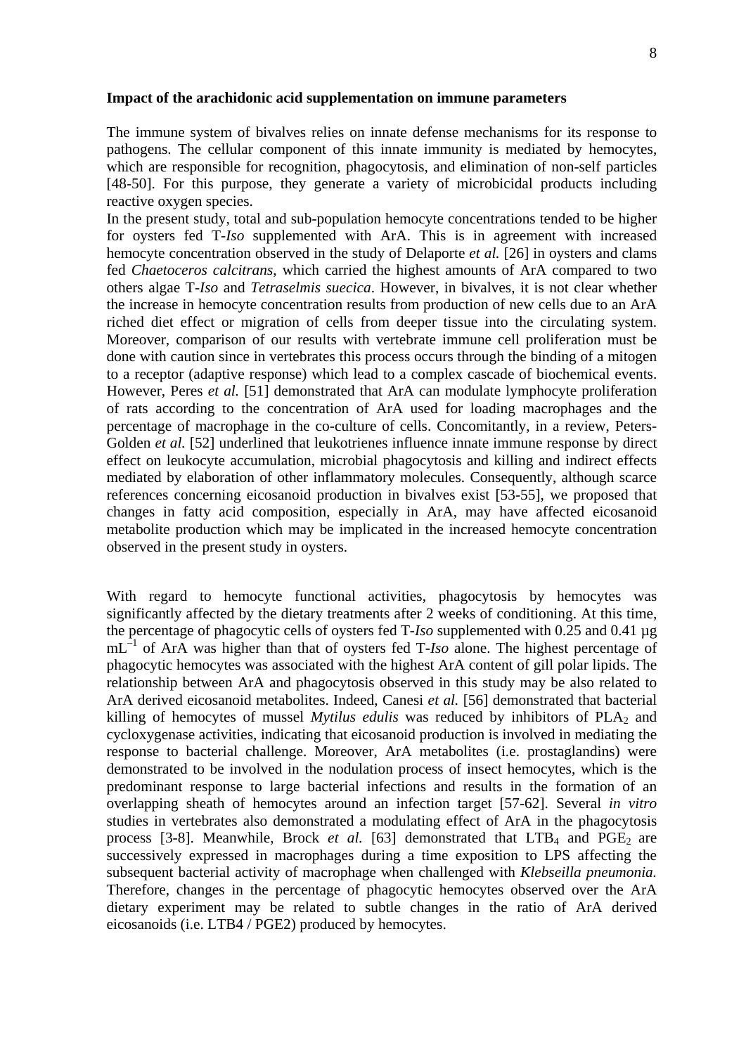### **Impact of the arachidonic acid supplementation on immune parameters**

The immune system of bivalves relies on innate defense mechanisms for its response to pathogens. The cellular component of this innate immunity is mediated by hemocytes, which are responsible for recognition, phagocytosis, and elimination of non-self particles [48-50]. For this purpose, they generate a variety of microbicidal products including reactive oxygen species.

In the present study, total and sub-population hemocyte concentrations tended to be higher for oysters fed T-*Iso* supplemented with ArA. This is in agreement with increased hemocyte concentration observed in the study of Delaporte *et al.* [26] in oysters and clams fed *Chaetoceros calcitrans*, which carried the highest amounts of ArA compared to two others algae T-*Iso* and *Tetraselmis suecica*. However, in bivalves, it is not clear whether the increase in hemocyte concentration results from production of new cells due to an ArA riched diet effect or migration of cells from deeper tissue into the circulating system. Moreover, comparison of our results with vertebrate immune cell proliferation must be done with caution since in vertebrates this process occurs through the binding of a mitogen to a receptor (adaptive response) which lead to a complex cascade of biochemical events. However, Peres *et al.* [51] demonstrated that ArA can modulate lymphocyte proliferation of rats according to the concentration of ArA used for loading macrophages and the percentage of macrophage in the co-culture of cells. Concomitantly, in a review, Peters-Golden *et al.* [52] underlined that leukotrienes influence innate immune response by direct effect on leukocyte accumulation, microbial phagocytosis and killing and indirect effects mediated by elaboration of other inflammatory molecules. Consequently, although scarce references concerning eicosanoid production in bivalves exist [53-55], we proposed that changes in fatty acid composition, especially in ArA, may have affected eicosanoid metabolite production which may be implicated in the increased hemocyte concentration observed in the present study in oysters.

With regard to hemocyte functional activities, phagocytosis by hemocytes was significantly affected by the dietary treatments after 2 weeks of conditioning. At this time, the percentage of phagocytic cells of oysters fed T*-Iso* supplemented with 0.25 and 0.41 µg mL–1 of ArA was higher than that of oysters fed T-*Iso* alone. The highest percentage of phagocytic hemocytes was associated with the highest ArA content of gill polar lipids. The relationship between ArA and phagocytosis observed in this study may be also related to ArA derived eicosanoid metabolites. Indeed, Canesi *et al.* [56] demonstrated that bacterial killing of hemocytes of mussel *Mytilus edulis* was reduced by inhibitors of PLA<sub>2</sub> and cycloxygenase activities, indicating that eicosanoid production is involved in mediating the response to bacterial challenge. Moreover, ArA metabolites (i.e. prostaglandins) were demonstrated to be involved in the nodulation process of insect hemocytes, which is the predominant response to large bacterial infections and results in the formation of an overlapping sheath of hemocytes around an infection target [57-62]. Several *in vitro* studies in vertebrates also demonstrated a modulating effect of ArA in the phagocytosis process [3-8]. Meanwhile, Brock *et al.* [63] demonstrated that  $LTB<sub>4</sub>$  and  $PGE<sub>2</sub>$  are successively expressed in macrophages during a time exposition to LPS affecting the subsequent bacterial activity of macrophage when challenged with *Klebseilla pneumonia.* Therefore, changes in the percentage of phagocytic hemocytes observed over the ArA dietary experiment may be related to subtle changes in the ratio of ArA derived eicosanoids (i.e. LTB4 / PGE2) produced by hemocytes.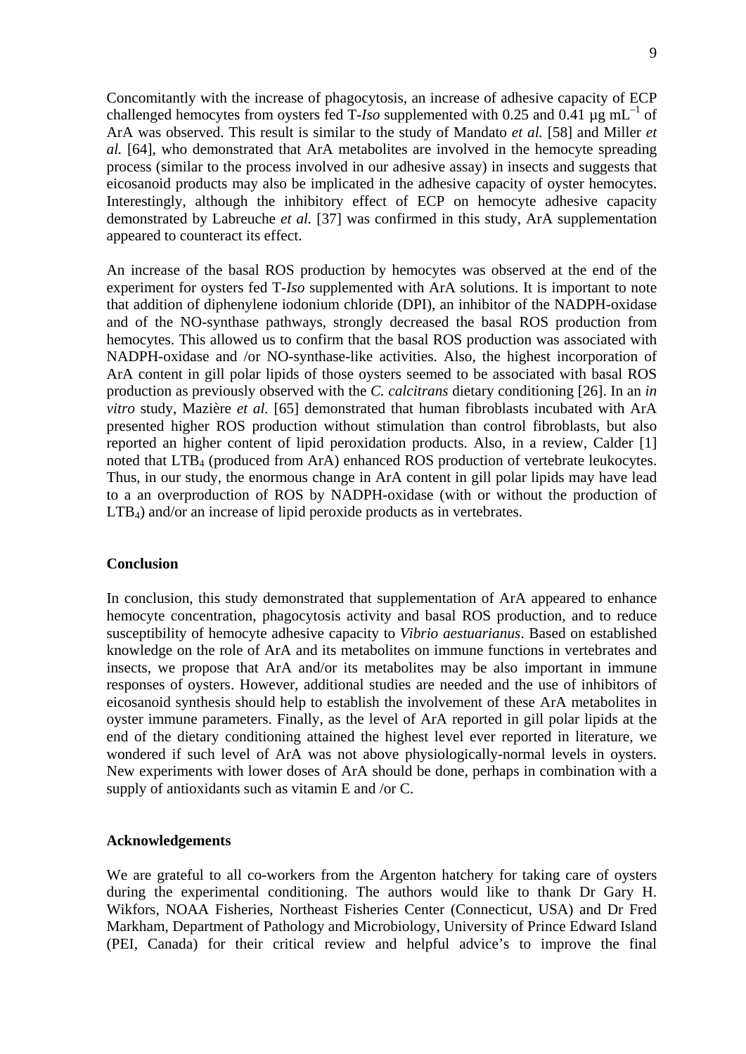Concomitantly with the increase of phagocytosis, an increase of adhesive capacity of ECP challenged hemocytes from oysters fed T-*Iso* supplemented with 0.25 and 0.41  $\mu$ g mL<sup>-1</sup> of ArA was observed. This result is similar to the study of Mandato *et al.* [58] and Miller *et al.* [64], who demonstrated that ArA metabolites are involved in the hemocyte spreading process (similar to the process involved in our adhesive assay) in insects and suggests that eicosanoid products may also be implicated in the adhesive capacity of oyster hemocytes. Interestingly, although the inhibitory effect of ECP on hemocyte adhesive capacity demonstrated by Labreuche *et al.* [37] was confirmed in this study, ArA supplementation appeared to counteract its effect.

An increase of the basal ROS production by hemocytes was observed at the end of the experiment for oysters fed T*-Iso* supplemented with ArA solutions. It is important to note that addition of diphenylene iodonium chloride (DPI), an inhibitor of the NADPH-oxidase and of the NO-synthase pathways, strongly decreased the basal ROS production from hemocytes. This allowed us to confirm that the basal ROS production was associated with NADPH-oxidase and /or NO-synthase-like activities. Also, the highest incorporation of ArA content in gill polar lipids of those oysters seemed to be associated with basal ROS production as previously observed with the *C. calcitrans* dietary conditioning [26]. In an *in vitro* study, Mazière *et al.* [65] demonstrated that human fibroblasts incubated with ArA presented higher ROS production without stimulation than control fibroblasts, but also reported an higher content of lipid peroxidation products. Also, in a review, Calder [1] noted that LTB<sub>4</sub> (produced from ArA) enhanced ROS production of vertebrate leukocytes. Thus, in our study, the enormous change in ArA content in gill polar lipids may have lead to a an overproduction of ROS by NADPH-oxidase (with or without the production of LTB4) and/or an increase of lipid peroxide products as in vertebrates.

### **Conclusion**

In conclusion, this study demonstrated that supplementation of ArA appeared to enhance hemocyte concentration, phagocytosis activity and basal ROS production, and to reduce susceptibility of hemocyte adhesive capacity to *Vibrio aestuarianus*. Based on established knowledge on the role of ArA and its metabolites on immune functions in vertebrates and insects, we propose that ArA and/or its metabolites may be also important in immune responses of oysters. However, additional studies are needed and the use of inhibitors of eicosanoid synthesis should help to establish the involvement of these ArA metabolites in oyster immune parameters. Finally, as the level of ArA reported in gill polar lipids at the end of the dietary conditioning attained the highest level ever reported in literature, we wondered if such level of ArA was not above physiologically-normal levels in oysters. New experiments with lower doses of ArA should be done, perhaps in combination with a supply of antioxidants such as vitamin E and /or C.

### **Acknowledgements**

We are grateful to all co-workers from the Argenton hatchery for taking care of oysters during the experimental conditioning. The authors would like to thank Dr Gary H. Wikfors, NOAA Fisheries, Northeast Fisheries Center (Connecticut, USA) and Dr Fred Markham, Department of Pathology and Microbiology, University of Prince Edward Island (PEI, Canada) for their critical review and helpful advice's to improve the final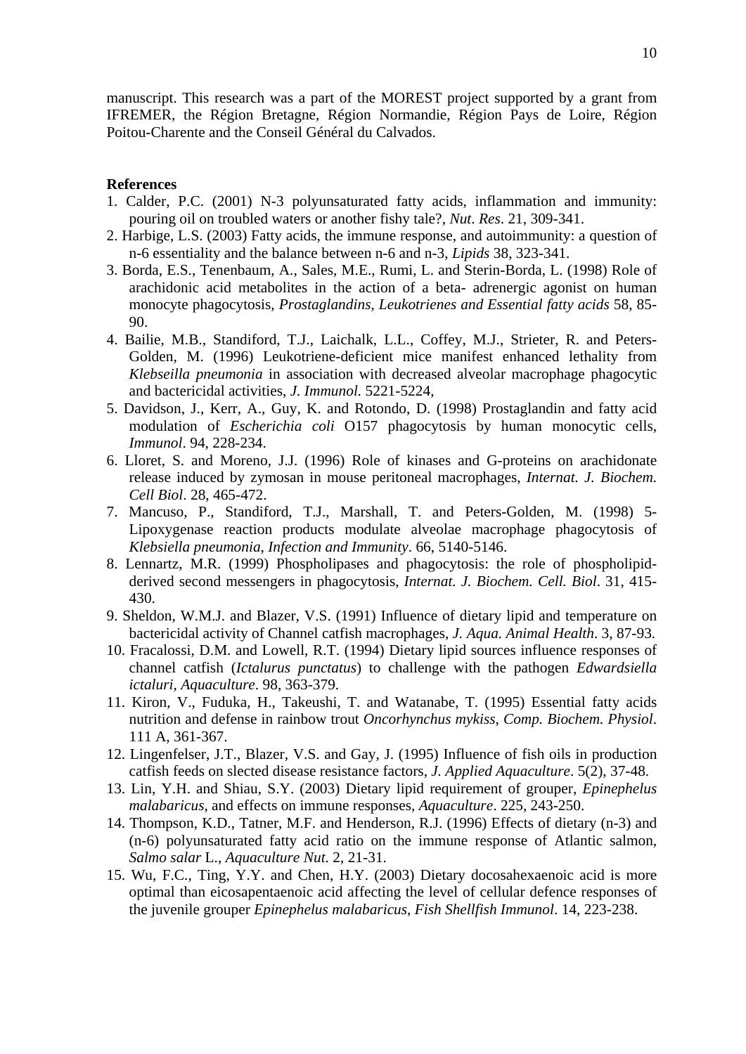manuscript. This research was a part of the MOREST project supported by a grant from IFREMER, the Région Bretagne, Région Normandie, Région Pays de Loire, Région Poitou-Charente and the Conseil Général du Calvados.

## **References**

- 1. Calder, P.C. (2001) N-3 polyunsaturated fatty acids, inflammation and immunity: pouring oil on troubled waters or another fishy tale?, *Nut*. *Res*. 21, 309-341.
- 2. Harbige, L.S. (2003) Fatty acids, the immune response, and autoimmunity: a question of n-6 essentiality and the balance between n-6 and n-3, *Lipids* 38, 323-341.
- 3. Borda, E.S., Tenenbaum, A., Sales, M.E., Rumi, L. and Sterin-Borda, L. (1998) Role of arachidonic acid metabolites in the action of a beta- adrenergic agonist on human monocyte phagocytosis, *Prostaglandins, Leukotrienes and Essential fatty acids* 58, 85- 90.
- 4. Bailie, M.B., Standiford, T.J., Laichalk, L.L., Coffey, M.J., Strieter, R. and Peters-Golden, M. (1996) Leukotriene-deficient mice manifest enhanced lethality from *Klebseilla pneumonia* in association with decreased alveolar macrophage phagocytic and bactericidal activities, *J. Immunol.* 5221-5224,
- 5. Davidson, J., Kerr, A., Guy, K. and Rotondo, D. (1998) Prostaglandin and fatty acid modulation of *Escherichia coli* O157 phagocytosis by human monocytic cells, *Immunol*. 94, 228-234.
- 6. Lloret, S. and Moreno, J.J. (1996) Role of kinases and G-proteins on arachidonate release induced by zymosan in mouse peritoneal macrophages, *Internat. J. Biochem. Cell Biol*. 28, 465-472.
- 7. Mancuso, P., Standiford, T.J., Marshall, T. and Peters-Golden, M. (1998) 5- Lipoxygenase reaction products modulate alveolae macrophage phagocytosis of *Klebsiella pneumonia*, *Infection and Immunity*. 66, 5140-5146.
- 8. Lennartz, M.R. (1999) Phospholipases and phagocytosis: the role of phospholipidderived second messengers in phagocytosis, *Internat. J. Biochem. Cell. Biol*. 31, 415- 430.
- 9. Sheldon, W.M.J. and Blazer, V.S. (1991) Influence of dietary lipid and temperature on bactericidal activity of Channel catfish macrophages, *J. Aqua. Animal Health*. 3, 87-93.
- 10. Fracalossi, D.M. and Lowell, R.T. (1994) Dietary lipid sources influence responses of channel catfish (*Ictalurus punctatus*) to challenge with the pathogen *Edwardsiella ictaluri*, *Aquaculture*. 98, 363-379.
- 11. Kiron, V., Fuduka, H., Takeushi, T. and Watanabe, T. (1995) Essential fatty acids nutrition and defense in rainbow trout *Oncorhynchus mykiss*, *Comp. Biochem. Physiol*. 111 A, 361-367.
- 12. Lingenfelser, J.T., Blazer, V.S. and Gay, J. (1995) Influence of fish oils in production catfish feeds on slected disease resistance factors, *J. Applied Aquaculture*. 5(2), 37-48.
- 13. Lin, Y.H. and Shiau, S.Y. (2003) Dietary lipid requirement of grouper, *Epinephelus malabaricus*, and effects on immune responses, *Aquaculture*. 225, 243-250.
- 14. Thompson, K.D., Tatner, M.F. and Henderson, R.J. (1996) Effects of dietary (n-3) and (n-6) polyunsaturated fatty acid ratio on the immune response of Atlantic salmon, *Salmo salar* L., *Aquaculture Nut*. 2, 21-31.
- 15. Wu, F.C., Ting, Y.Y. and Chen, H.Y. (2003) Dietary docosahexaenoic acid is more optimal than eicosapentaenoic acid affecting the level of cellular defence responses of the juvenile grouper *Epinephelus malabaricus*, *Fish Shellfish Immunol*. 14, 223-238.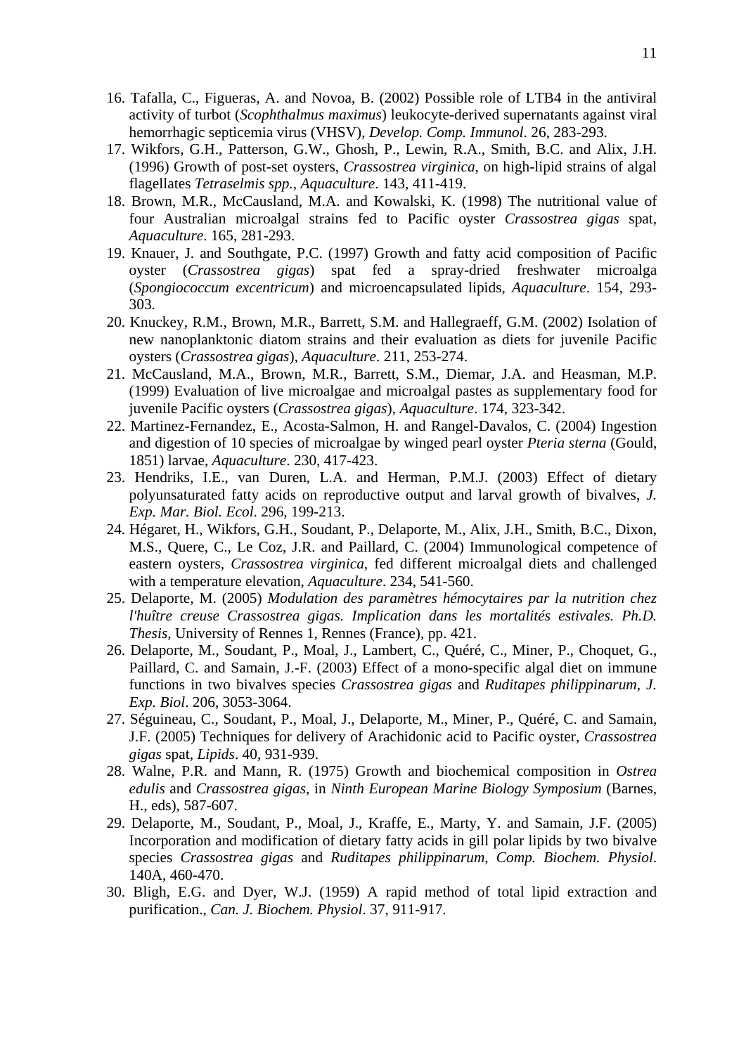- 16. Tafalla, C., Figueras, A. and Novoa, B. (2002) Possible role of LTB4 in the antiviral activity of turbot (*Scophthalmus maximus*) leukocyte-derived supernatants against viral hemorrhagic septicemia virus (VHSV), *Develop. Comp. Immunol*. 26, 283-293.
- 17. Wikfors, G.H., Patterson, G.W., Ghosh, P., Lewin, R.A., Smith, B.C. and Alix, J.H. (1996) Growth of post-set oysters, *Crassostrea virginica*, on high-lipid strains of algal flagellates *Tetraselmis spp.*, *Aquaculture*. 143, 411-419.
- 18. Brown, M.R., McCausland, M.A. and Kowalski, K. (1998) The nutritional value of four Australian microalgal strains fed to Pacific oyster *Crassostrea gigas* spat, *Aquaculture*. 165, 281-293.
- 19. Knauer, J. and Southgate, P.C. (1997) Growth and fatty acid composition of Pacific oyster (*Crassostrea gigas*) spat fed a spray-dried freshwater microalga (*Spongiococcum excentricum*) and microencapsulated lipids, *Aquaculture*. 154, 293- 303.
- 20. Knuckey, R.M., Brown, M.R., Barrett, S.M. and Hallegraeff, G.M. (2002) Isolation of new nanoplanktonic diatom strains and their evaluation as diets for juvenile Pacific oysters (*Crassostrea gigas*), *Aquaculture*. 211, 253-274.
- 21. McCausland, M.A., Brown, M.R., Barrett, S.M., Diemar, J.A. and Heasman, M.P. (1999) Evaluation of live microalgae and microalgal pastes as supplementary food for juvenile Pacific oysters (*Crassostrea gigas*), *Aquaculture*. 174, 323-342.
- 22. Martinez-Fernandez, E., Acosta-Salmon, H. and Rangel-Davalos, C. (2004) Ingestion and digestion of 10 species of microalgae by winged pearl oyster *Pteria sterna* (Gould, 1851) larvae, *Aquaculture*. 230, 417-423.
- 23. Hendriks, I.E., van Duren, L.A. and Herman, P.M.J. (2003) Effect of dietary polyunsaturated fatty acids on reproductive output and larval growth of bivalves, *J. Exp. Mar. Biol. Ecol*. 296, 199-213.
- 24. Hégaret, H., Wikfors, G.H., Soudant, P., Delaporte, M., Alix, J.H., Smith, B.C., Dixon, M.S., Quere, C., Le Coz, J.R. and Paillard, C. (2004) Immunological competence of eastern oysters, *Crassostrea virginica*, fed different microalgal diets and challenged with a temperature elevation, *Aquaculture*. 234, 541-560.
- 25. Delaporte, M. (2005) *Modulation des paramètres hémocytaires par la nutrition chez l'huître creuse Crassostrea gigas. Implication dans les mortalités estivales. Ph.D. Thesis,* University of Rennes 1*,* Rennes (France), pp. 421.
- 26. Delaporte, M., Soudant, P., Moal, J., Lambert, C., Quéré, C., Miner, P., Choquet, G., Paillard, C. and Samain, J.-F. (2003) Effect of a mono-specific algal diet on immune functions in two bivalves species *Crassostrea gigas* and *Ruditapes philippinarum*, *J. Exp. Biol*. 206, 3053-3064.
- 27. Séguineau, C., Soudant, P., Moal, J., Delaporte, M., Miner, P., Quéré, C. and Samain, J.F. (2005) Techniques for delivery of Arachidonic acid to Pacific oyster, *Crassostrea gigas* spat, *Lipids*. 40, 931-939.
- 28. Walne, P.R. and Mann, R. (1975) Growth and biochemical composition in *Ostrea edulis* and *Crassostrea gigas*, in *Ninth European Marine Biology Symposium* (Barnes, H., eds), 587-607.
- 29. Delaporte, M., Soudant, P., Moal, J., Kraffe, E., Marty, Y. and Samain, J.F. (2005) Incorporation and modification of dietary fatty acids in gill polar lipids by two bivalve species *Crassostrea gigas* and *Ruditapes philippinarum*, *Comp. Biochem. Physiol*. 140A, 460-470.
- 30. Bligh, E.G. and Dyer, W.J. (1959) A rapid method of total lipid extraction and purification., *Can. J. Biochem. Physiol*. 37, 911-917.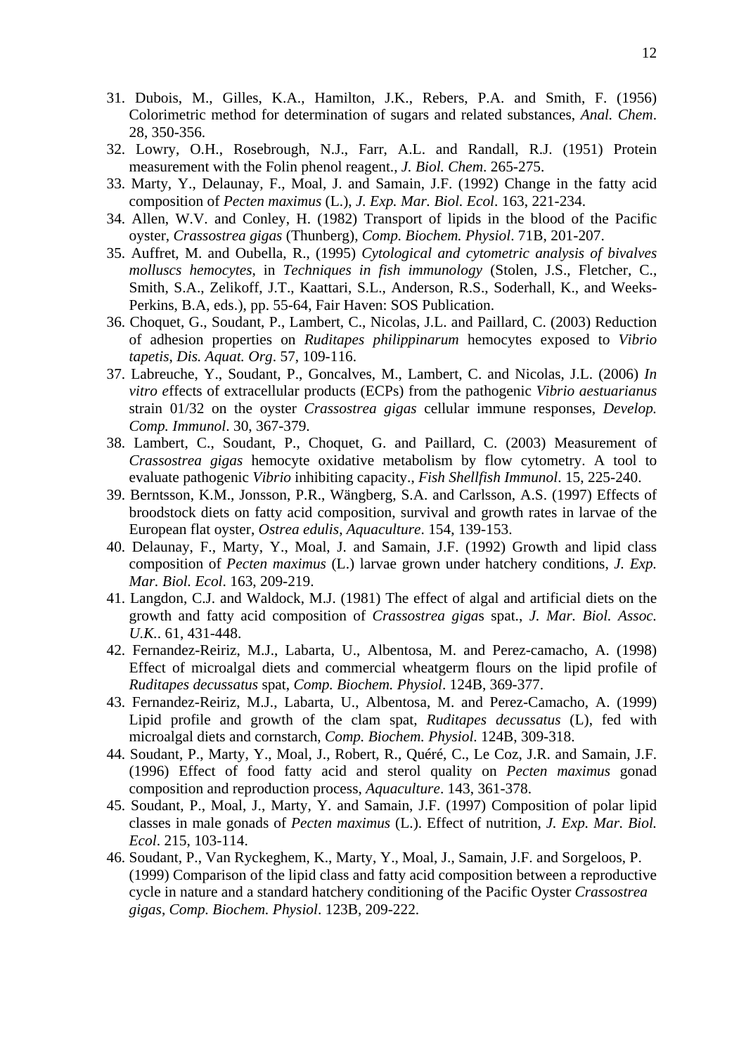- 31. Dubois, M., Gilles, K.A., Hamilton, J.K., Rebers, P.A. and Smith, F. (1956) Colorimetric method for determination of sugars and related substances, *Anal. Chem*. 28, 350-356.
- 32. Lowry, O.H., Rosebrough, N.J., Farr, A.L. and Randall, R.J. (1951) Protein measurement with the Folin phenol reagent., *J. Biol. Chem*. 265-275.
- 33. Marty, Y., Delaunay, F., Moal, J. and Samain, J.F. (1992) Change in the fatty acid composition of *Pecten maximus* (L.), *J. Exp. Mar. Biol. Ecol*. 163, 221-234.
- 34. Allen, W.V. and Conley, H. (1982) Transport of lipids in the blood of the Pacific oyster, *Crassostrea gigas* (Thunberg), *Comp. Biochem. Physiol*. 71B, 201-207.
- 35. Auffret, M. and Oubella, R., (1995) *Cytological and cytometric analysis of bivalves molluscs hemocytes*, in *Techniques in fish immunology* (Stolen, J.S., Fletcher, C., Smith, S.A., Zelikoff, J.T., Kaattari, S.L., Anderson, R.S., Soderhall, K., and Weeks-Perkins, B.A, eds.), pp. 55-64, Fair Haven: SOS Publication.
- 36. Choquet, G., Soudant, P., Lambert, C., Nicolas, J.L. and Paillard, C. (2003) Reduction of adhesion properties on *Ruditapes philippinarum* hemocytes exposed to *Vibrio tapetis*, *Dis. Aquat. Org*. 57, 109-116.
- 37. Labreuche, Y., Soudant, P., Goncalves, M., Lambert, C. and Nicolas, J.L. (2006) *In vitro e*ffects of extracellular products (ECPs) from the pathogenic *Vibrio aestuarianus*  strain 01/32 on the oyster *Crassostrea gigas* cellular immune responses, *Develop. Comp. Immunol*. 30, 367-379.
- 38. Lambert, C., Soudant, P., Choquet, G. and Paillard, C. (2003) Measurement of *Crassostrea gigas* hemocyte oxidative metabolism by flow cytometry. A tool to evaluate pathogenic *Vibrio* inhibiting capacity., *Fish Shellfish Immunol*. 15, 225-240.
- 39. Berntsson, K.M., Jonsson, P.R., Wängberg, S.A. and Carlsson, A.S. (1997) Effects of broodstock diets on fatty acid composition, survival and growth rates in larvae of the European flat oyster, *Ostrea edulis*, *Aquaculture*. 154, 139-153.
- 40. Delaunay, F., Marty, Y., Moal, J. and Samain, J.F. (1992) Growth and lipid class composition of *Pecten maximus* (L.) larvae grown under hatchery conditions, *J. Exp. Mar. Biol. Ecol*. 163, 209-219.
- 41. Langdon, C.J. and Waldock, M.J. (1981) The effect of algal and artificial diets on the growth and fatty acid composition of *Crassostrea giga*s spat., *J. Mar. Biol. Assoc. U.K.*. 61, 431-448.
- 42. Fernandez-Reiriz, M.J., Labarta, U., Albentosa, M. and Perez-camacho, A. (1998) Effect of microalgal diets and commercial wheatgerm flours on the lipid profile of *Ruditapes decussatus* spat, *Comp. Biochem. Physiol*. 124B, 369-377.
- 43. Fernandez-Reiriz, M.J., Labarta, U., Albentosa, M. and Perez-Camacho, A. (1999) Lipid profile and growth of the clam spat, *Ruditapes decussatus* (L), fed with microalgal diets and cornstarch, *Comp. Biochem. Physiol*. 124B, 309-318.
- 44. Soudant, P., Marty, Y., Moal, J., Robert, R., Quéré, C., Le Coz, J.R. and Samain, J.F. (1996) Effect of food fatty acid and sterol quality on *Pecten maximus* gonad composition and reproduction process, *Aquaculture*. 143, 361-378.
- 45. Soudant, P., Moal, J., Marty, Y. and Samain, J.F. (1997) Composition of polar lipid classes in male gonads of *Pecten maximus* (L.). Effect of nutrition, *J. Exp. Mar. Biol. Ecol*. 215, 103-114.
- 46. Soudant, P., Van Ryckeghem, K., Marty, Y., Moal, J., Samain, J.F. and Sorgeloos, P. (1999) Comparison of the lipid class and fatty acid composition between a reproductive cycle in nature and a standard hatchery conditioning of the Pacific Oyster *Crassostrea gigas*, *Comp. Biochem. Physiol*. 123B, 209-222.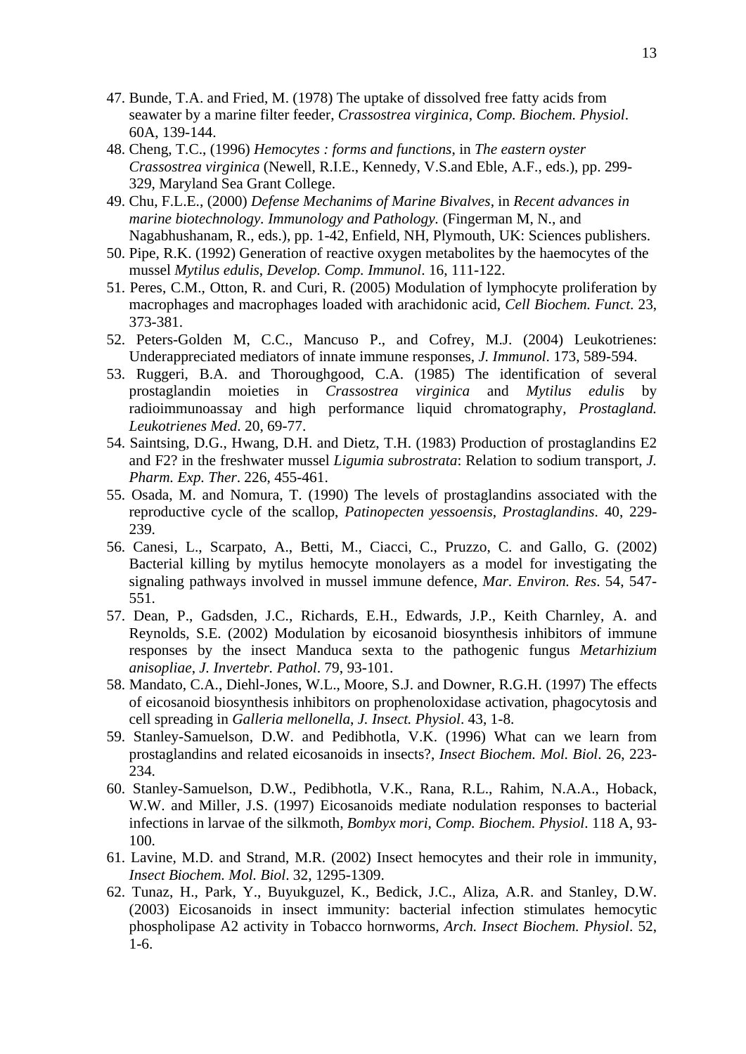- 47. Bunde, T.A. and Fried, M. (1978) The uptake of dissolved free fatty acids from seawater by a marine filter feeder, *Crassostrea virginica*, *Comp. Biochem. Physiol*. 60A, 139-144.
- 48. Cheng, T.C., (1996) *Hemocytes : forms and functions*, in *The eastern oyster Crassostrea virginica* (Newell, R.I.E., Kennedy, V.S.and Eble, A.F., eds.), pp. 299- 329, Maryland Sea Grant College.
- 49. Chu, F.L.E., (2000) *Defense Mechanims of Marine Bivalves*, in *Recent advances in marine biotechnology. Immunology and Pathology.* (Fingerman M, N., and Nagabhushanam, R., eds.), pp. 1-42, Enfield, NH, Plymouth, UK: Sciences publishers.
- 50. Pipe, R.K. (1992) Generation of reactive oxygen metabolites by the haemocytes of the mussel *Mytilus edulis*, *Develop. Comp. Immunol*. 16, 111-122.
- 51. Peres, C.M., Otton, R. and Curi, R. (2005) Modulation of lymphocyte proliferation by macrophages and macrophages loaded with arachidonic acid, *Cell Biochem. Funct*. 23, 373-381.
- 52. Peters-Golden M, C.C., Mancuso P., and Cofrey, M.J. (2004) Leukotrienes: Underappreciated mediators of innate immune responses, *J. Immunol*. 173, 589-594.
- 53. Ruggeri, B.A. and Thoroughgood, C.A. (1985) The identification of several prostaglandin moieties in *Crassostrea virginica* and *Mytilus edulis* by radioimmunoassay and high performance liquid chromatography, *Prostagland. Leukotrienes Med*. 20, 69-77.
- 54. Saintsing, D.G., Hwang, D.H. and Dietz, T.H. (1983) Production of prostaglandins E2 and F2? in the freshwater mussel *Ligumia subrostrata*: Relation to sodium transport, *J. Pharm. Exp. Ther*. 226, 455-461.
- 55. Osada, M. and Nomura, T. (1990) The levels of prostaglandins associated with the reproductive cycle of the scallop, *Patinopecten yessoensis*, *Prostaglandins*. 40, 229- 239.
- 56. Canesi, L., Scarpato, A., Betti, M., Ciacci, C., Pruzzo, C. and Gallo, G. (2002) Bacterial killing by mytilus hemocyte monolayers as a model for investigating the signaling pathways involved in mussel immune defence, *Mar. Environ. Res*. 54, 547- 551.
- 57. Dean, P., Gadsden, J.C., Richards, E.H., Edwards, J.P., Keith Charnley, A. and Reynolds, S.E. (2002) Modulation by eicosanoid biosynthesis inhibitors of immune responses by the insect Manduca sexta to the pathogenic fungus *Metarhizium anisopliae*, *J. Invertebr. Pathol*. 79, 93-101.
- 58. Mandato, C.A., Diehl-Jones, W.L., Moore, S.J. and Downer, R.G.H. (1997) The effects of eicosanoid biosynthesis inhibitors on prophenoloxidase activation, phagocytosis and cell spreading in *Galleria mellonella*, *J. Insect. Physiol*. 43, 1-8.
- 59. Stanley-Samuelson, D.W. and Pedibhotla, V.K. (1996) What can we learn from prostaglandins and related eicosanoids in insects?, *Insect Biochem. Mol. Biol*. 26, 223- 234.
- 60. Stanley-Samuelson, D.W., Pedibhotla, V.K., Rana, R.L., Rahim, N.A.A., Hoback, W.W. and Miller, J.S. (1997) Eicosanoids mediate nodulation responses to bacterial infections in larvae of the silkmoth, *Bombyx mori*, *Comp. Biochem. Physiol*. 118 A, 93- 100.
- 61. Lavine, M.D. and Strand, M.R. (2002) Insect hemocytes and their role in immunity, *Insect Biochem. Mol. Biol*. 32, 1295-1309.
- 62. Tunaz, H., Park, Y., Buyukguzel, K., Bedick, J.C., Aliza, A.R. and Stanley, D.W. (2003) Eicosanoids in insect immunity: bacterial infection stimulates hemocytic phospholipase A2 activity in Tobacco hornworms, *Arch. Insect Biochem. Physiol*. 52, 1-6.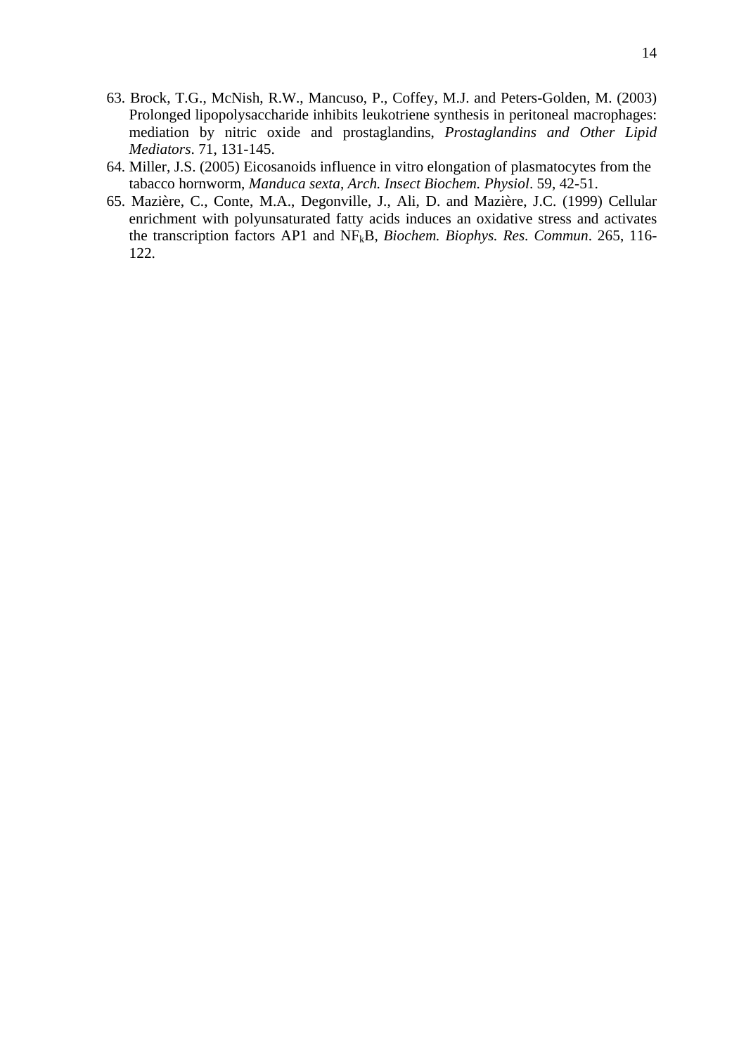- 63. Brock, T.G., McNish, R.W., Mancuso, P., Coffey, M.J. and Peters-Golden, M. (2003) Prolonged lipopolysaccharide inhibits leukotriene synthesis in peritoneal macrophages: mediation by nitric oxide and prostaglandins, *Prostaglandins and Other Lipid Mediators*. 71, 131-145.
- 64. Miller, J.S. (2005) Eicosanoids influence in vitro elongation of plasmatocytes from the tabacco hornworm, *Manduca sexta*, *Arch. Insect Biochem. Physiol*. 59, 42-51.
- 65. Mazière, C., Conte, M.A., Degonville, J., Ali, D. and Mazière, J.C. (1999) Cellular enrichment with polyunsaturated fatty acids induces an oxidative stress and activates the transcription factors AP1 and NFkB, *Biochem. Biophys. Res. Commun*. 265, 116- 122.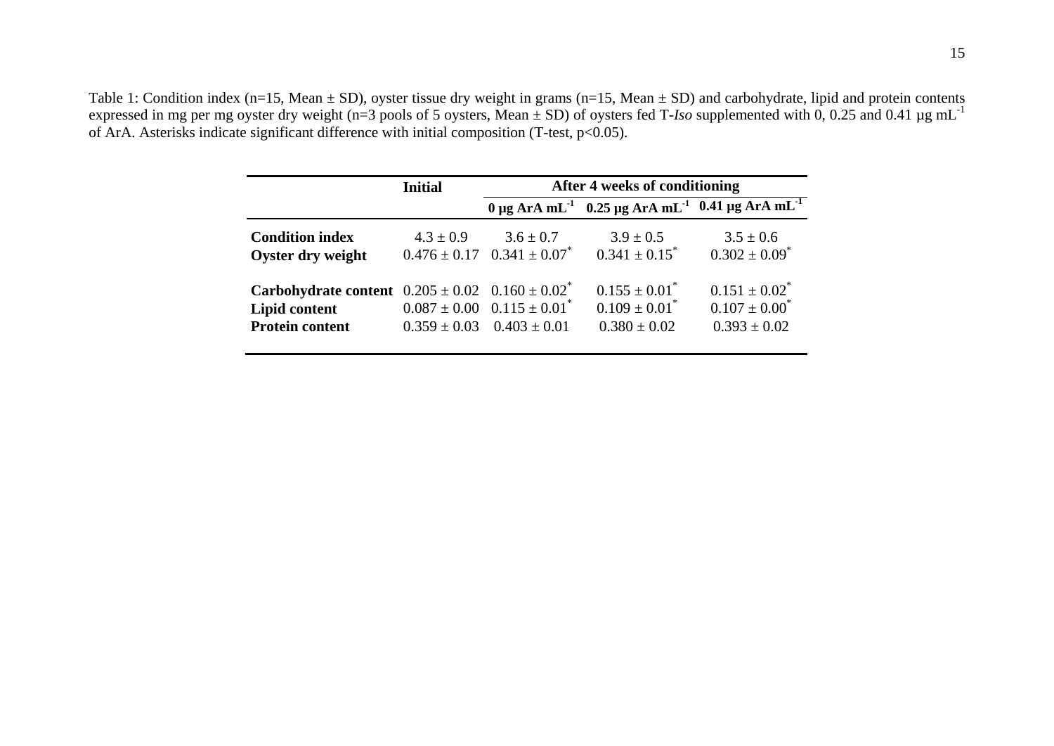Table 1: Condition index (n=15, Mean  $\pm$  SD), oyster tissue dry weight in grams (n=15, Mean  $\pm$  SD) and carbohydrate, lipid and protein contents expressed in mg per mg oyster dry weight (n=3 pools of 5 oysters, Mean ± SD) of oysters fed T-*Iso* supplemented with 0, 0.25 and 0.41 µg mL-<sup>1</sup> of ArA. Asterisks indicate significant difference with initial composition (T-test,  $p<0.05$ ).

|                                                                 | <b>Initial</b> | After 4 weeks of conditioning                  |                                                                                          |                               |  |  |  |
|-----------------------------------------------------------------|----------------|------------------------------------------------|------------------------------------------------------------------------------------------|-------------------------------|--|--|--|
|                                                                 |                |                                                | $0 \mu g$ ArA mL <sup>-1</sup> 0.25 μg ArA mL <sup>-1</sup> 0.41 μg ArA mL <sup>-1</sup> |                               |  |  |  |
| <b>Condition index</b>                                          | $4.3 \pm 0.9$  | $3.6 \pm 0.7$                                  | $3.9 \pm 0.5$                                                                            | $3.5 \pm 0.6$                 |  |  |  |
| Oyster dry weight                                               |                | $0.476 \pm 0.17$ $0.341 \pm 0.07$ <sup>*</sup> | $0.341 \pm 0.15^*$                                                                       | $0.302 \pm 0.09$ <sup>*</sup> |  |  |  |
| <b>Carbohydrate content</b> $0.205 \pm 0.02$ $0.160 \pm 0.02^*$ |                |                                                | $0.155 \pm 0.01^*$                                                                       | $0.151 \pm 0.02^*$            |  |  |  |
| Lipid content                                                   |                | $0.087 \pm 0.00$ $0.115 \pm 0.01$ <sup>*</sup> | $0.109 \pm 0.01$ <sup>*</sup>                                                            | $0.107 \pm 0.00^*$            |  |  |  |
| <b>Protein content</b>                                          |                | $0.359 \pm 0.03$ $0.403 \pm 0.01$              | $0.380 \pm 0.02$                                                                         | $0.393 \pm 0.02$              |  |  |  |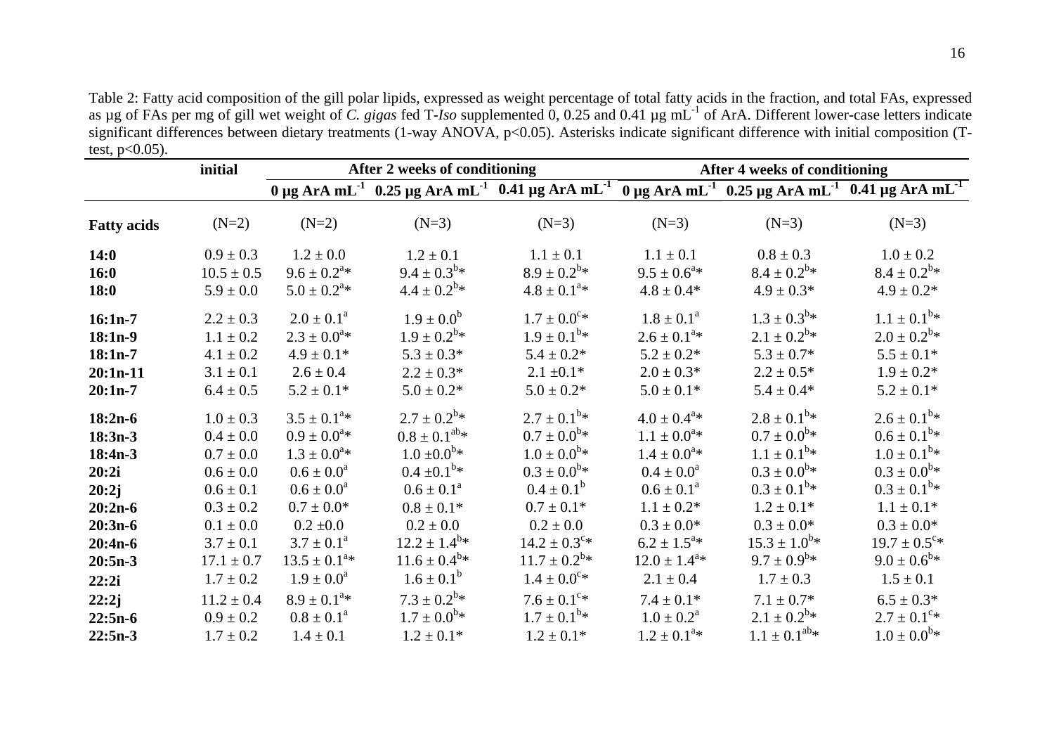Table 2: Fatty acid composition of the gill polar lipids, expressed as weight percentage of total fatty acids in the fraction, and total FAs, expressed as µg of FAs per mg of gill wet weight of *C. gigas* fed T-*Iso* supplemented 0, 0.25 and 0.41 µg mL-1 of ArA. Different lower-case letters indicate significant differences between dietary treatments (1-way ANOVA, p<0.05). Asterisks indicate significant difference with initial composition (Ttest,  $p<0.05$ ).

|                    | initial        |                          | After 2 weeks of conditioning |                              | After 4 weeks of conditioning |                         |                                                                                                                                                                                   |  |
|--------------------|----------------|--------------------------|-------------------------------|------------------------------|-------------------------------|-------------------------|-----------------------------------------------------------------------------------------------------------------------------------------------------------------------------------|--|
|                    |                |                          |                               |                              |                               |                         | $0 \mu$ g ArA mL <sup>-1</sup> 0.25 μg ArA mL <sup>-1</sup> 0.41 μg ArA mL <sup>-1</sup> $0 \mu$ g ArA mL <sup>-1</sup> 0.25 μg ArA mL <sup>-1</sup> 0.41 μg ArA mL <sup>-1</sup> |  |
| <b>Fatty acids</b> | $(N=2)$        | $(N=2)$                  | $(N=3)$                       | $(N=3)$                      | $(N=3)$                       | $(N=3)$                 | $(N=3)$                                                                                                                                                                           |  |
| 14:0               | $0.9 \pm 0.3$  | $1.2 \pm 0.0$            | $1.2 \pm 0.1$                 | $1.1 \pm 0.1$                | $1.1 \pm 0.1$                 | $0.8 \pm 0.3$           | $1.0 \pm 0.2$                                                                                                                                                                     |  |
| 16:0               | $10.5 \pm 0.5$ | $9.6 \pm 0.2^{a*}$       | $9.4 \pm 0.3^{b*}$            | $8.9 \pm 0.2^{\rm b} *$      | $9.5 \pm 0.6^{\text{a}}*$     | $8.4 \pm 0.2^{b*}$      | $8.4 \pm 0.2^{b*}$                                                                                                                                                                |  |
| 18:0               | $5.9 \pm 0.0$  | $5.0 \pm 0.2^{a*}$       | $4.4 \pm 0.2^{6*}$            | $4.8 \pm 0.1^{a*}$           | $4.8 \pm 0.4*$                | $4.9 \pm 0.3*$          | $4.9 \pm 0.2^*$                                                                                                                                                                   |  |
| $16:1n-7$          | $2.2 \pm 0.3$  | $2.0 \pm 0.1^a$          | $1.9 \pm 0.0^b$               | $1.7 \pm 0.0^{\circ*}$       | $1.8 \pm 0.1^{\text{a}}$      | $1.3 \pm 0.3^{b*}$      | $1.1 \pm 0.1^{b*}$                                                                                                                                                                |  |
| $18:1n-9$          | $1.1 \pm 0.2$  | $2.3 \pm 0.0^{a*}$       | $1.9 \pm 0.2^{\rm b}$ *       | $1.9 \pm 0.1^{b*}$           | $2.6 \pm 0.1^{a*}$            | $2.1 \pm 0.2^{b*}$      | $2.0 \pm 0.2^{b*}$                                                                                                                                                                |  |
| $18:1n-7$          | $4.1 \pm 0.2$  | $4.9 \pm 0.1*$           | $5.3 \pm 0.3*$                | $5.4 \pm 0.2*$               | $5.2 \pm 0.2^*$               | $5.3 \pm 0.7*$          | $5.5 \pm 0.1*$                                                                                                                                                                    |  |
| $20:1n-11$         | $3.1 \pm 0.1$  | $2.6 \pm 0.4$            | $2.2 \pm 0.3*$                | $2.1 \pm 0.1*$               | $2.0 \pm 0.3*$                | $2.2 \pm 0.5*$          | $1.9 \pm 0.2*$                                                                                                                                                                    |  |
| $20:1n-7$          | $6.4 \pm 0.5$  | $5.2 \pm 0.1*$           | $5.0 \pm 0.2*$                | $5.0 \pm 0.2*$               | $5.0 \pm 0.1*$                | $5.4 \pm 0.4*$          | $5.2 \pm 0.1*$                                                                                                                                                                    |  |
| $18:2n-6$          | $1.0 \pm 0.3$  | $3.5 \pm 0.1^{a*}$       | $2.7 \pm 0.2^{\rm b} *$       | $2.7 \pm 0.1^{\rm b} *$      | $4.0 \pm 0.4^{\text{a}}*$     | $2.8 \pm 0.1^{\rm b} *$ | $2.6 \pm 0.1^{\rm b} *$                                                                                                                                                           |  |
| $18:3n-3$          | $0.4 \pm 0.0$  | $0.9 \pm 0.0^{a*}$       | $0.8 \pm 0.1^{ab} *$          | $0.7 \pm 0.0^{b*}$           | $1.1 \pm 0.0^{a*}$            | $0.7 \pm 0.0^{b*}$      | $0.6 \pm 0.1^{\rm b} *$                                                                                                                                                           |  |
| $18:4n-3$          | $0.7 \pm 0.0$  | $1.3 \pm 0.0^{a*}$       | $1.0 \pm 0.0^{b*}$            | $1.0 \pm 0.0^{b*}$           | $1.4 \pm 0.0^{a*}$            | $1.1 \pm 0.1^{b*}$      | $1.0 \pm 0.1^{\rm b}$ *                                                                                                                                                           |  |
| 20:2i              | $0.6 \pm 0.0$  | $0.6 \pm 0.0^a$          | $0.4 \pm 0.1^{b*}$            | $0.3 \pm 0.0^{b*}$           | $0.4 \pm 0.0^a$               | $0.3 \pm 0.0^{b*}$      | $0.3 \pm 0.0^{b*}$                                                                                                                                                                |  |
| 20:2j              | $0.6 \pm 0.1$  | $0.6 \pm 0.0^a$          | $0.6 \pm 0.1^{\text{a}}$      | $0.4 \pm 0.1^b$              | $0.6 \pm 0.1^{\text{a}}$      | $0.3 \pm 0.1^{\rm b}$ * | $0.3 \pm 0.1^{\rm b}$ *                                                                                                                                                           |  |
| $20:2n-6$          | $0.3 \pm 0.2$  | $0.7 \pm 0.0*$           | $0.8 \pm 0.1*$                | $0.7 \pm 0.1*$               | $1.1 \pm 0.2^*$               | $1.2 \pm 0.1*$          | $1.1 \pm 0.1*$                                                                                                                                                                    |  |
| $20:3n-6$          | $0.1 \pm 0.0$  | $0.2 \pm 0.0$            | $0.2 \pm 0.0$                 | $0.2 \pm 0.0$                | $0.3 \pm 0.0^*$               | $0.3 \pm 0.0^*$         | $0.3 \pm 0.0^*$                                                                                                                                                                   |  |
| $20:4n-6$          | $3.7 \pm 0.1$  | $3.7 \pm 0.1^{\text{a}}$ | $12.2 \pm 1.4^{\text{b}}*$    | $14.2 \pm 0.3$ <sup>c*</sup> | $6.2 \pm 1.5^{\text{a}}*$     | $15.3 \pm 1.0^{b*}$     | $19.7 \pm 0.5$ <sup>c*</sup>                                                                                                                                                      |  |
| $20:5n-3$          | $17.1 \pm 0.7$ | $13.5 \pm 0.1^{a*}$      | $11.6 \pm 0.4^{\text{b}}*$    | $11.7 \pm 0.2^{b*}$          | $12.0 \pm 1.4^{\text{a}}*$    | $9.7 \pm 0.9^{\rm b}$ * | $9.0 \pm 0.6^{\text{b}}*$                                                                                                                                                         |  |
| 22:2i              | $1.7 \pm 0.2$  | $1.9 \pm 0.0^a$          | $1.6 \pm 0.1^b$               | $1.4 \pm 0.0^{\circ*}$       | $2.1 \pm 0.4$                 | $1.7 \pm 0.3$           | $1.5 \pm 0.1$                                                                                                                                                                     |  |
| 22:2j              | $11.2 \pm 0.4$ | $8.9 \pm 0.1^{a*}$       | $7.3 \pm 0.2^{b} *$           | $7.6 \pm 0.1^{\circ*}$       | $7.4 \pm 0.1*$                | $7.1 \pm 0.7*$          | $6.5 \pm 0.3*$                                                                                                                                                                    |  |
| $22:5n-6$          | $0.9 \pm 0.2$  | $0.8 \pm 0.1^{\text{a}}$ | $1.7 \pm 0.0^{b*}$            | $1.7 \pm 0.1^{\rm b*}$       | $1.0 \pm 0.2^{\text{a}}$      | $2.1 \pm 0.2^{b*}$      | $2.7 \pm 0.1^{\circ*}$                                                                                                                                                            |  |
| $22:5n-3$          | $1.7 \pm 0.2$  | $1.4 \pm 0.1$            | $1.2 \pm 0.1*$                | $1.2 \pm 0.1*$               | $1.2 \pm 0.1^{a*}$            | $1.1 \pm 0.1^{ab} *$    | $1.0 \pm 0.0^{b*}$                                                                                                                                                                |  |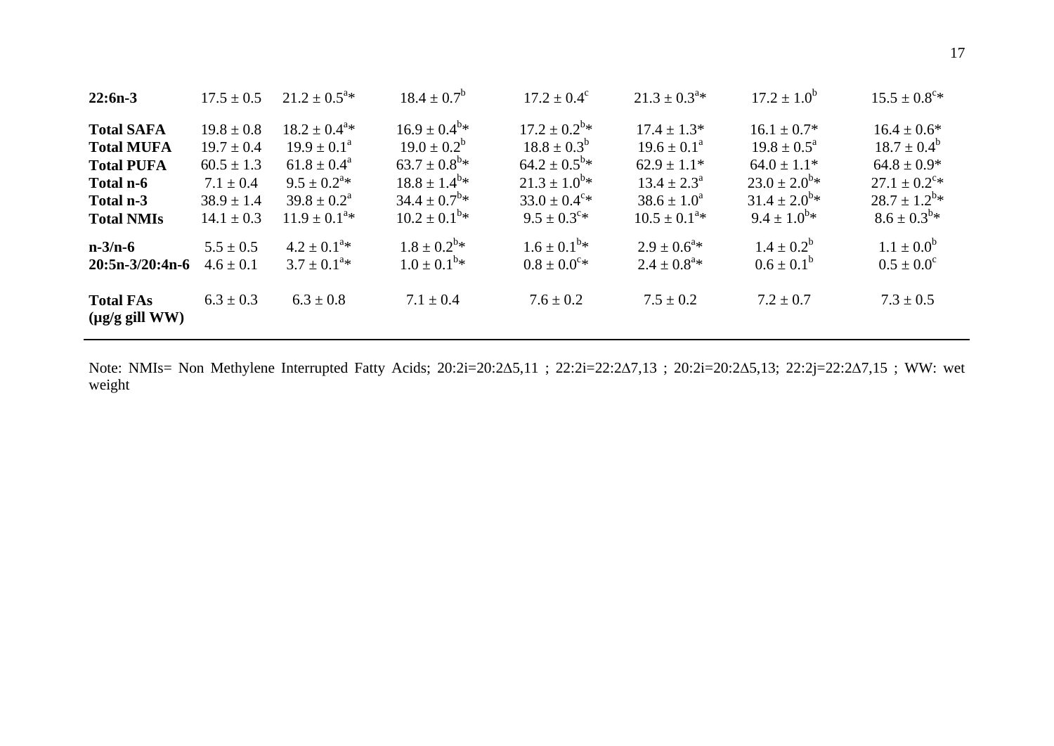| $22:6n-3$                                                                                                  | $17.5 \pm 0.5$                                                                                          | $21.2 \pm 0.5^{\text{a}}*$                                                                                                                                  | $18.4 \pm 0.7^b$                                                                                                                                             | $17.2 \pm 0.4^{\circ}$                                                                                                                                           | $21.3 \pm 0.3^{a*}$                                                                                                                      | $17.2 \pm 1.0^b$                                                                                                                   | $15.5 \pm 0.8^{\circ*}$                                                                                                               |
|------------------------------------------------------------------------------------------------------------|---------------------------------------------------------------------------------------------------------|-------------------------------------------------------------------------------------------------------------------------------------------------------------|--------------------------------------------------------------------------------------------------------------------------------------------------------------|------------------------------------------------------------------------------------------------------------------------------------------------------------------|------------------------------------------------------------------------------------------------------------------------------------------|------------------------------------------------------------------------------------------------------------------------------------|---------------------------------------------------------------------------------------------------------------------------------------|
| <b>Total SAFA</b><br><b>Total MUFA</b><br><b>Total PUFA</b><br>Total n-6<br>Total n-3<br><b>Total NMIs</b> | $19.8 \pm 0.8$<br>$19.7 \pm 0.4$<br>$60.5 \pm 1.3$<br>$7.1 \pm 0.4$<br>$38.9 \pm 1.4$<br>$14.1 \pm 0.3$ | $18.2 \pm 0.4^{\text{a}}*$<br>$19.9 \pm 0.1^{\text{a}}$<br>$61.8 \pm 0.4^{\circ}$<br>$9.5 \pm 0.2^{a*}$<br>$39.8 \pm 0.2^{\text{a}}$<br>$11.9 \pm 0.1^{a*}$ | $16.9 \pm 0.4^{\rm b}$ *<br>$19.0 \pm 0.2^b$<br>$63.7 \pm 0.8^{\rm b} *$<br>$18.8 \pm 1.4^{\rm b} *$<br>$34.4 \pm 0.7^{\rm b}$ *<br>$10.2 \pm 0.1^{\rm b}$ * | $17.2 \pm 0.2^{\rm b}$ *<br>$18.8 \pm 0.3^b$<br>$64.2 \pm 0.5^{\rm b}$ *<br>$21.3 \pm 1.0^{b*}$<br>$33.0 \pm 0.4$ <sup>c</sup> *<br>$9.5 \pm 0.3$ <sup>c</sup> * | $17.4 \pm 1.3*$<br>$19.6 \pm 0.1^{\circ}$<br>$62.9 \pm 1.1*$<br>$13.4 \pm 2.3^{\circ}$<br>$38.6 \pm 1.0^a$<br>$10.5 \pm 0.1^{\text{a}}*$ | $16.1 \pm 0.7^*$<br>$19.8 \pm 0.5^{\circ}$<br>$64.0 \pm 1.1^*$<br>$23.0 \pm 2.0^{b*}$<br>$31.4 \pm 2.0^{b*}$<br>$9.4 \pm 1.0^{b*}$ | $16.4 \pm 0.6^*$<br>$18.7 \pm 0.4^b$<br>$64.8 \pm 0.9*$<br>$27.1 \pm 0.2$ <sup>c</sup> *<br>$28.7 \pm 1.2^{b*}$<br>$8.6 \pm 0.3^{b*}$ |
| $n-3/n-6$<br>$20:5n-3/20:4n-6$<br><b>Total FAs</b><br>$(\mu g/g \text{ gill } WW)$                         | $5.5 \pm 0.5$<br>$4.6 \pm 0.1$<br>$6.3 \pm 0.3$                                                         | $4.2 \pm 0.1^{a*}$<br>$3.7 \pm 0.1^{\text{a}}*$<br>$6.3 \pm 0.8$                                                                                            | $1.8 \pm 0.2^{\rm b} *$<br>$1.0 \pm 0.1^{\rm b}$ *<br>$7.1 \pm 0.4$                                                                                          | $1.6 \pm 0.1^{\rm b}$ *<br>$0.8 \pm 0.0^{\circ*}$<br>$7.6 \pm 0.2$                                                                                               | $2.9 \pm 0.6^{\text{a}}*$<br>$2.4 \pm 0.8^{a*}$<br>$7.5 \pm 0.2$                                                                         | $1.4 \pm 0.2^b$<br>$0.6 \pm 0.1^b$<br>$7.2 \pm 0.7$                                                                                | $1.1 \pm 0.0^b$<br>$0.5 \pm 0.0^{\circ}$<br>$7.3 \pm 0.5$                                                                             |

Note: NMIs= Non Methylene Interrupted Fatty Acids; 20:2i=20:2Δ5,11 ; 22:2i=22:2Δ7,13 ; 20:2i=20:2Δ5,13; 22:2j=22:2Δ7,15 ; WW: wet weight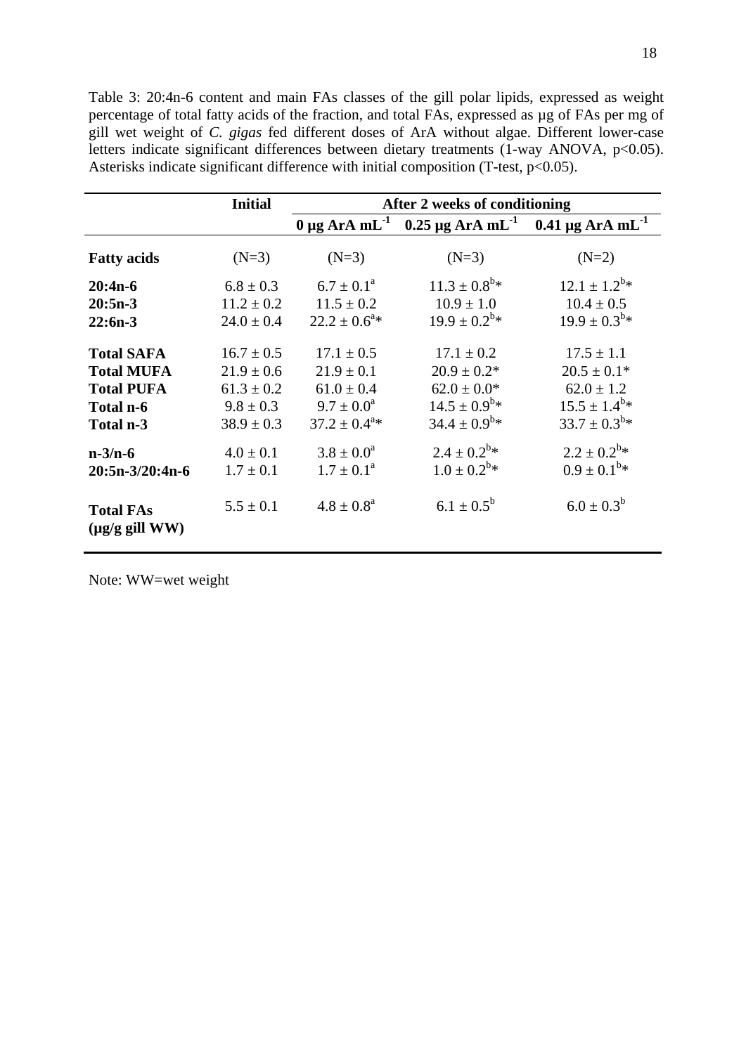Table 3: 20:4n-6 content and main FAs classes of the gill polar lipids, expressed as weight percentage of total fatty acids of the fraction, and total FAs, expressed as µg of FAs per mg of gill wet weight of *C. gigas* fed different doses of ArA without algae. Different lower-case letters indicate significant differences between dietary treatments (1-way ANOVA, p<0.05). Asterisks indicate significant difference with initial composition (T-test, p<0.05).

|                                                  | <b>Initial</b> | After 2 weeks of conditioning |                                                                                          |                            |  |  |  |
|--------------------------------------------------|----------------|-------------------------------|------------------------------------------------------------------------------------------|----------------------------|--|--|--|
|                                                  |                |                               | $0 \mu$ g ArA mL <sup>-1</sup> 0.25 μg ArA mL <sup>-1</sup> 0.41 μg ArA mL <sup>-1</sup> |                            |  |  |  |
| <b>Fatty acids</b>                               | $(N=3)$        | $(N=3)$                       | $(N=3)$                                                                                  | $(N=2)$                    |  |  |  |
| $20:4n-6$                                        | $6.8 \pm 0.3$  | $6.7 \pm 0.1^{\circ}$         | $11.3 \pm 0.8^{\rm b*}$                                                                  | $12.1 \pm 1.2^{b*}$        |  |  |  |
| $20:5n-3$                                        | $11.2 \pm 0.2$ | $11.5 \pm 0.2$                | $10.9 \pm 1.0$                                                                           | $10.4 \pm 0.5$             |  |  |  |
| $22:6n-3$                                        | $24.0 \pm 0.4$ | $22.2 \pm 0.6^{\text{a}}*$    | $19.9 \pm 0.2^{b*}$                                                                      | $19.9 \pm 0.3^{b} *$       |  |  |  |
| <b>Total SAFA</b>                                | $16.7 \pm 0.5$ | $17.1 \pm 0.5$                | $17.1 \pm 0.2$                                                                           | $17.5 \pm 1.1$             |  |  |  |
| <b>Total MUFA</b>                                | $21.9 \pm 0.6$ | $21.9 \pm 0.1$                | $20.9 \pm 0.2^*$                                                                         | $20.5 \pm 0.1*$            |  |  |  |
| <b>Total PUFA</b>                                | $61.3 \pm 0.2$ | $61.0 \pm 0.4$                | $62.0 \pm 0.0*$                                                                          | $62.0 \pm 1.2$             |  |  |  |
| Total n-6                                        | $9.8 \pm 0.3$  | $9.7 \pm 0.0^a$               | $14.5 \pm 0.9^{\rm b} *$                                                                 | $15.5 \pm 1.4^{\text{b}}*$ |  |  |  |
| Total n-3                                        | $38.9 \pm 0.3$ | $37.2 \pm 0.4^{\text{a}}*$    | $34.4 \pm 0.9^{\rm b*}$                                                                  | $33.7 \pm 0.3^{b*}$        |  |  |  |
| $n-3/n-6$                                        | $4.0 \pm 0.1$  | $3.8 \pm 0.0^a$               | $2.4 \pm 0.2^{b*}$                                                                       | $2.2 \pm 0.2^{b*}$         |  |  |  |
| $20:5n-3/20:4n-6$                                | $1.7 \pm 0.1$  | $1.7 \pm 0.1^{\text{a}}$      | $1.0 \pm 0.2^{b*}$                                                                       | $0.9 \pm 0.1^{b*}$         |  |  |  |
| <b>Total FAs</b><br>$(\mu g/g \text{ gill } WW)$ | $5.5 \pm 0.1$  | $4.8 \pm 0.8^{\text{a}}$      | $6.1 \pm 0.5^{\rm b}$                                                                    | $6.0 \pm 0.3^b$            |  |  |  |

Note: WW=wet weight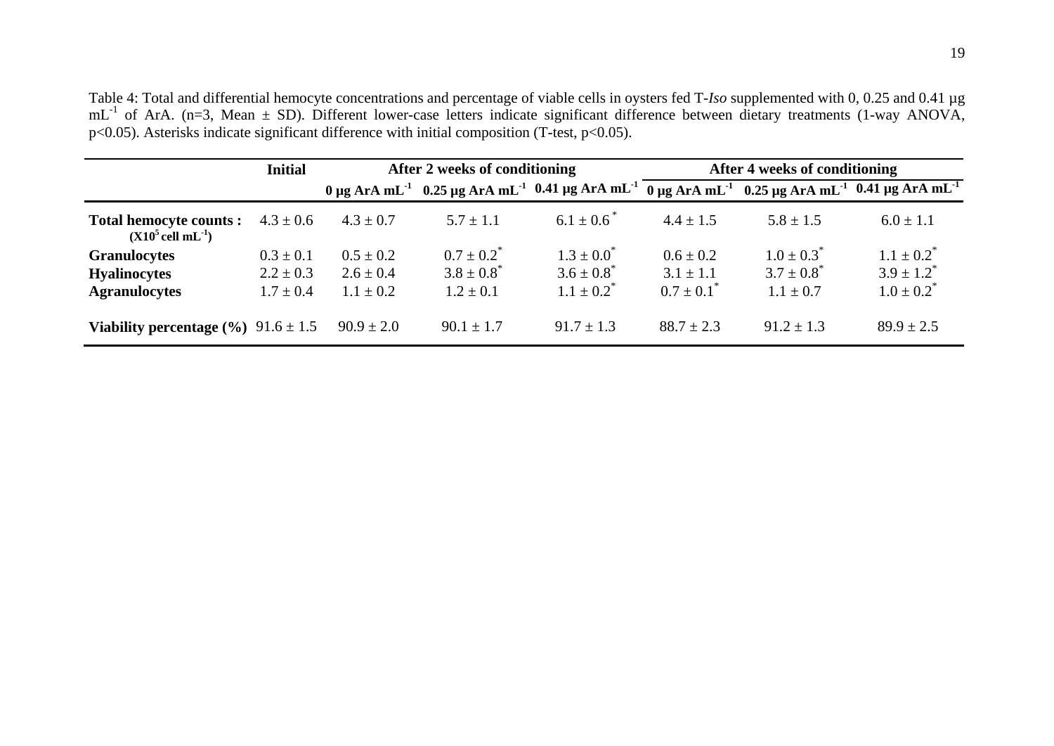Table 4: Total and differential hemocyte concentrations and percentage of viable cells in oysters fed T-Iso supplemented with 0, 0.25 and 0.41 µg  $mL^{-1}$  of ArA. (n=3, Mean  $\pm$  SD). Different lower-case letters indicate significant difference between dietary treatments (1-way ANOVA, p<0.05). Asterisks indicate significant difference with initial composition (T-test, p<0.05).

|                                                                  | <b>Initial</b>                 | After 2 weeks of conditioning  |                                    |                                    | After 4 weeks of conditioning  |                                    |                                                                                                                                                                         |  |
|------------------------------------------------------------------|--------------------------------|--------------------------------|------------------------------------|------------------------------------|--------------------------------|------------------------------------|-------------------------------------------------------------------------------------------------------------------------------------------------------------------------|--|
|                                                                  |                                |                                |                                    |                                    |                                |                                    | 0 μg ArA mL <sup>-1</sup> 0.25 μg ArA mL <sup>-1</sup> 0.41 μg ArA mL <sup>-1</sup> 0 μg ArA mL <sup>-1</sup> 0.25 μg ArA mL <sup>-1</sup> 0.41 μg ArA mL <sup>-1</sup> |  |
| <b>Total hemocyte counts:</b><br>$(X105$ cell mL <sup>-1</sup> ) | $4.3 \pm 0.6$                  | $4.3 \pm 0.7$                  | $5.7 \pm 1.1$                      | $6.1 \pm 0.6^*$                    | $4.4 \pm 1.5$                  | $5.8 \pm 1.5$                      | $6.0 \pm 1.1$                                                                                                                                                           |  |
| <b>Granulocytes</b><br><b>Hyalinocytes</b>                       | $0.3 \pm 0.1$<br>$2.2 \pm 0.3$ | $0.5 \pm 0.2$<br>$2.6 \pm 0.4$ | $0.7 \pm 0.2^*$<br>$3.8 \pm 0.8^*$ | $1.3 \pm 0.0^*$<br>$3.6 \pm 0.8^*$ | $0.6 \pm 0.2$<br>$3.1 \pm 1.1$ | $1.0 \pm 0.3^*$<br>$3.7 \pm 0.8^*$ | $1.1 \pm 0.2^*$<br>$3.9 \pm 1.2^*$                                                                                                                                      |  |
| <b>Agranulocytes</b>                                             | $1.7 \pm 0.4$                  | $1.1 \pm 0.2$                  | $1.2 \pm 0.1$                      | $1.1 \pm 0.2^*$                    | $0.7 \pm 0.1^*$                | $1.1 \pm 0.7$                      | $1.0 \pm 0.2^*$                                                                                                                                                         |  |
| Viability percentage $(\%$ ) $91.6 \pm 1.5$                      |                                | $90.9 \pm 2.0$                 | $90.1 \pm 1.7$                     | $91.7 \pm 1.3$                     | $88.7 \pm 2.3$                 | $91.2 \pm 1.3$                     | $89.9 \pm 2.5$                                                                                                                                                          |  |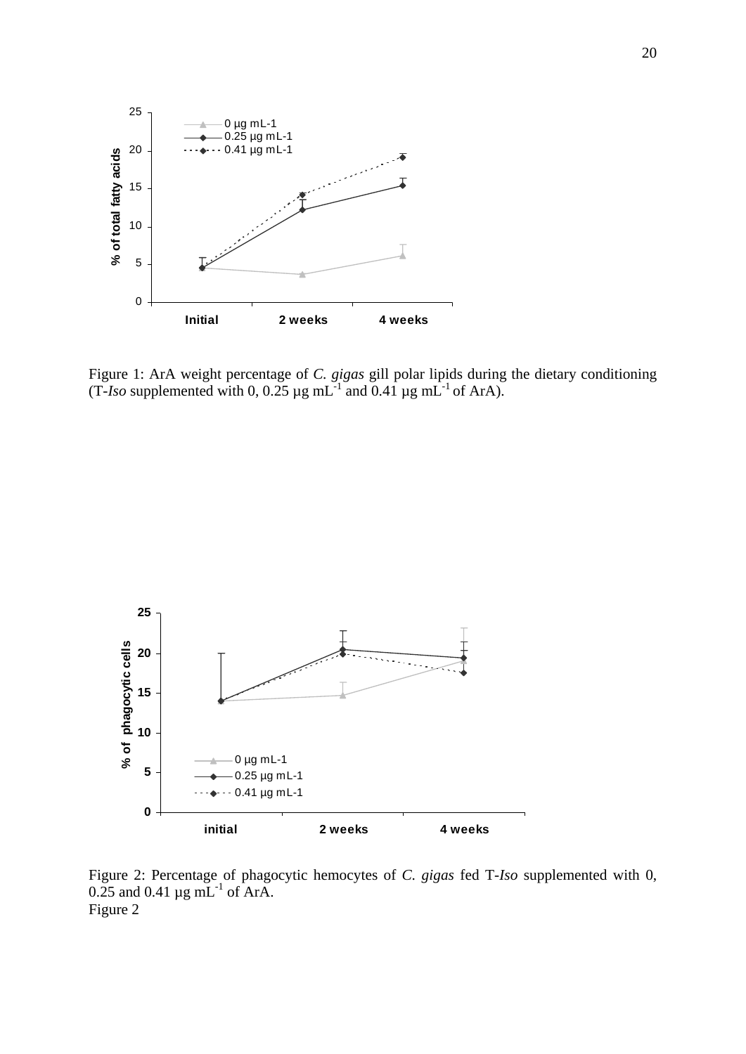

Figure 1: ArA weight percentage of *C. gigas* gill polar lipids during the dietary conditioning (T-Iso supplemented with 0, 0.25  $\mu$ g mL<sup>-1</sup> and 0.41  $\mu$ g mL<sup>-1</sup> of ArA).



Figure 2: Percentage of phagocytic hemocytes of *C. gigas* fed T-*Iso* supplemented with 0,  $0.25$  and  $0.41 \mu$ g mL<sup>-1</sup> of ArA. Figure 2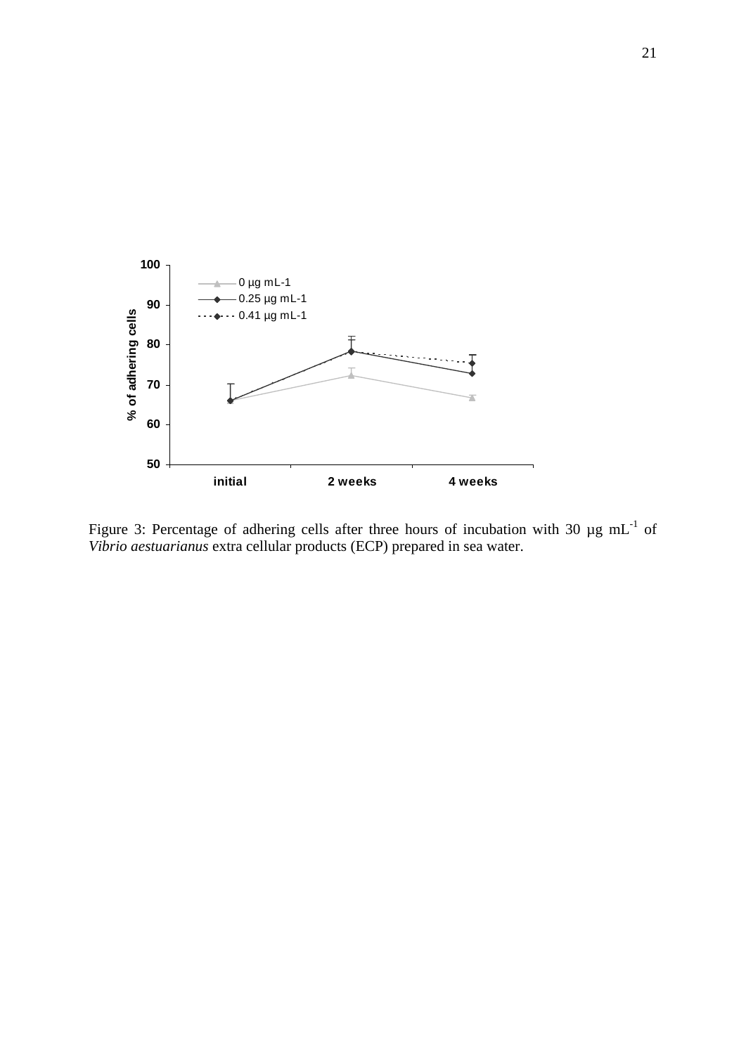

Figure 3: Percentage of adhering cells after three hours of incubation with 30  $\mu$ g mL<sup>-1</sup> of *Vibrio aestuarianus* extra cellular products (ECP) prepared in sea water.